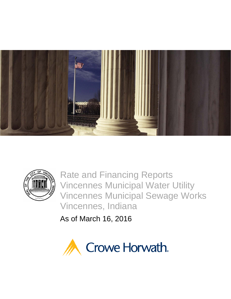



Rate and Financing Reports Vincennes Municipal Water Utility Vincennes Municipal Sewage Works Vincennes, Indiana

As of March 16, 2016

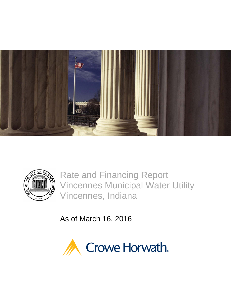



Rate and Financing Report Vincennes Municipal Water Utility Vincennes, Indiana

As of March 16, 2016

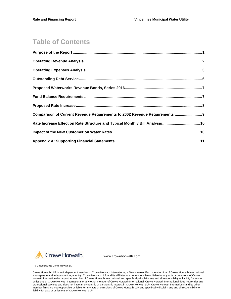# **Table of Contents**

| Comparison of Current Revenue Requirements to 2002 Revenue Requirements  9  |
|-----------------------------------------------------------------------------|
| Rate Increase Effect on Rate Structure and Typical Monthly Bill Analysis 10 |
|                                                                             |
|                                                                             |



www.crowehorwath.com

© Copyright 2016 Crowe Horwath LLP

Crowe Horwath LLP is an independent member of Crowe Horwath International, a Swiss verein. Each member firm of Crowe Horwath International is a separate and independent legal entity. Crowe Horwath LLP and its affiliates are not responsible or liable for any acts or omissions of Crowe Horwath International or any other member of Crowe Horwath International and specifically disclaim any and all responsibility or liability for acts or omissions of Crowe Horwath International or any other member of Crowe Horwath International. Crowe Horwath International does not render any professional services and does not have an ownership or partnership interest in Crowe Horwath LLP. Crowe Horwath International and its other member firms are not responsible or liable for any acts or omissions of Crowe Horwath LLP and specifically disclaim any and all responsibility or liability for acts or omissions of Crowe Horwath LLP.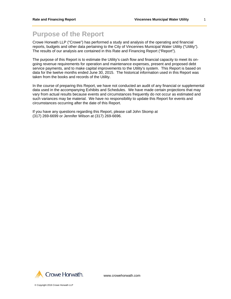# **Purpose of the Report**

Crowe Horwath LLP ("Crowe") has performed a study and analysis of the operating and financial reports, budgets and other data pertaining to the City of Vincennes Municipal Water Utility ("Utility"). The results of our analysis are contained in this Rate and Financing Report ("Report").

The purpose of this Report is to estimate the Utility's cash flow and financial capacity to meet its ongoing revenue requirements for operation and maintenance expenses, present and proposed debt service payments, and to make capital improvements to the Utility's system. This Report is based on data for the twelve months ended June 30, 2015. The historical information used in this Report was taken from the books and records of the Utility.

In the course of preparing this Report, we have not conducted an audit of any financial or supplemental data used in the accompanying Exhibits and Schedules. We have made certain projections that may vary from actual results because events and circumstances frequently do not occur as estimated and such variances may be material. We have no responsibility to update this Report for events and circumstances occurring after the date of this Report.

If you have any questions regarding this Report, please call John Skomp at (317) 269-6699 or Jennifer Wilson at (317) 269-6696.

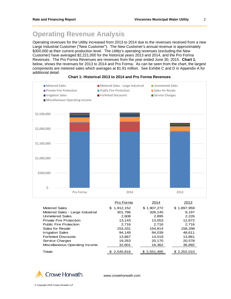# **Operating Revenue Analysis**

Operating revenues for the Utility increased from 2013 to 2014 due to the revenues received from a new Large Industrial Customer ("New Customer"). The New Customer's annual revenue is approximately \$300,000 at their current production level. The Utility's operating revenues (excluding the New Customer) have averaged \$2,221,000 for the historical years 2013 and 2014, and the Pro Forma Revenues. The Pro Forma Revenues are revenues from the year ended June 30, 2015. **Chart 1**, below, shows the revenues for 2013 to 2014 and Pro Forma. As can be seen from the chart, the largest components are metered sales which averages at \$1.91 million. See Exhibit C and D in Appendix A for additional detail.



| Chart 1: Historical 2013 to 2014 and Pro Forma Revenues |
|---------------------------------------------------------|
|---------------------------------------------------------|

|                                  | Pro Forma        | 2014        | 2013        |
|----------------------------------|------------------|-------------|-------------|
| Metered Sales                    | 1,912,152<br>\$. | \$1.907.272 | \$1.897.959 |
| Metered Sales - Large Industrial | 301.786          | 326.145     | 8.197       |
| <b>Unmetered Sales</b>           | 2.608            | 2.895       | 2.226       |
| <b>Private Fire Protection</b>   | 13.143           | 13.053      | 12,672      |
| <b>Public Fire Protection</b>    | 2.716            | 2.716       | 2.716       |
| Sales for Resale                 | 153,331          | 154.814     | 158,298     |
| <b>Irrigation Sales</b>          | 94.149           | 94.039      | 48.611      |
| <b>Forfeited Discounts</b>       | 13,867           | 14.019      | 13,861      |
| Service Charges                  | 19.263           | 20,170      | 20,578      |
| Miscellaneous Operating Income   | 32,801           | 16,362      | 36,892      |
| Totals                           | \$2.545.816      | \$2.551.485 | \$2,202,010 |

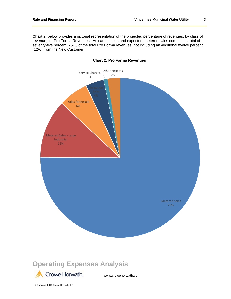**Chart 2**, below provides a pictorial representation of the projected percentage of revenues, by class of revenue, for Pro Forma Revenues. As can be seen and expected, metered sales comprise a total of seventy-five percent (75%) of the total Pro Forma revenues, not including an additional twelve percent (12%) from the New Customer.



#### **Chart 2: Pro Forma Revenues**

© Copyright 2016 Crowe Horwath LLP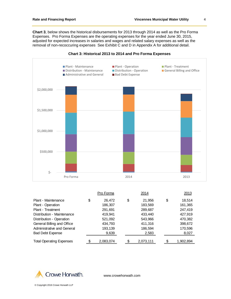**Chart 3**, below shows the historical disbursements for 2013 through 2014 as well as the Pro Forma Expenses. Pro Forma Expenses are the operating expenses for the year ended June 30, 2015, adjusted for expected increases in salaries and wages and related salary expenses as well as the removal of non-recoccuring expenses See Exhibit C and D in Appendix A for additional detail.



|  |  |  |  |  |  |  |  |  | Chart 3: Historical 2013 to 2014 and Pro Forma Expenses |
|--|--|--|--|--|--|--|--|--|---------------------------------------------------------|
|--|--|--|--|--|--|--|--|--|---------------------------------------------------------|

|                                 | Pro Forma       |    | 2014      | 2013         |
|---------------------------------|-----------------|----|-----------|--------------|
| Plant - Maintenance             | \$<br>26,472    | \$ | 21,956    | \$<br>18,514 |
| Plant - Operation               | 186,307         |    | 183,569   | 161,365      |
| Plant - Treatment               | 291,691         |    | 289,687   | 247,419      |
| Distribution - Maintenance      | 419,941         |    | 433,440   | 427,919      |
| Distribution - Operation        | 521,092         |    | 543,966   | 470,382      |
| General Billing and Office      | 434,793         |    | 411,316   | 398,672      |
| Administrative and General      | 193,139         |    | 186,594   | 170,596      |
| <b>Bad Debt Expense</b>         | 9,639           |    | 2,583     | 8,027        |
| <b>Total Operating Expenses</b> | \$<br>2,083,074 | £. | 2,073,111 | 1,902,894    |

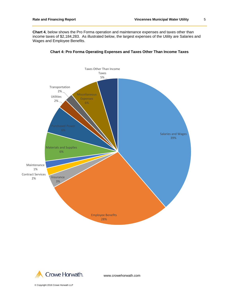**Chart 4**, below shows the Pro Forma operation and maintenance expenses and taxes other than income taxes of \$2,184,283. As illustrated below, the largest expenses of the Utility are Salaries and Wages and Employee Benefits.





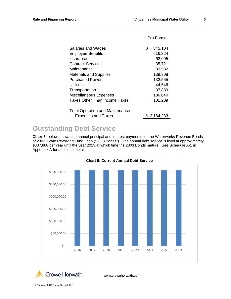|                                        | Pro Forma     |
|----------------------------------------|---------------|
| Salaries and Wages                     | \$<br>845,104 |
| <b>Employee Benefits</b>               | 616,324       |
| Insurance                              | 62,005        |
| <b>Contract Services</b>               | 35,721        |
| Maintenance                            | 33,532        |
| <b>Materials and Supplies</b>          | 139,308       |
| <b>Purchased Power</b>                 | 132,555       |
| Utilities                              | 44,646        |
| Transportation                         | 37,839        |
| <b>Miscellaneous Expenses</b>          | 136,040       |
| Taxes Other Than Income Taxes          | 101,209       |
| <b>Total Operation and Maintenance</b> |               |
| <b>Expenses and Taxes</b>              | 2,184,283     |

# **Outstanding Debt Service**

**Chart 5**, below, shows the annual principal and interest payments for the Waterworks Revenue Bonds of 2003, State Revolving Fund Loan ("2003 Bonds"). The annual debt service is level at approximately \$307,800 per year until the year 2023 at which time the 2003 Bonds mature. See Schedule A-1 in Appendix A for additional detail.



**Chart 5: Current Annual Debt Service** 

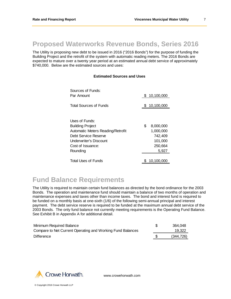# **Proposed Waterworks Revenue Bonds, Series 2016**

The Utility is proposing new debt to be issued in 2016 ("2016 Bonds") for the purpose of funding the Building Project and the retrofit of the system with automatic reading meters. The 2016 Bonds are expected to mature over a twenty year period at an estimated annual debt service of approximately \$740,000. Below are the estimated sources and uses:

#### **Estimated Sources and Uses**

| Sources of Funds:<br>Par Amount   | S. | 10,100,000   |
|-----------------------------------|----|--------------|
| <b>Total Sources of Funds</b>     |    | \$10,100,000 |
|                                   |    |              |
| Uses of Funds:                    |    |              |
| <b>Building Project</b>           | \$ | 8,000,000    |
| Automatic Meters Reading/Retrofit |    | 1,000,000    |
| Debt Service Reserve              |    | 742.409      |
| Underwriter's Discount            |    | 101,000      |
| Cost of Issuance:                 |    | 250,664      |
| Rounding                          |    | 5,927        |
|                                   |    |              |
| Total Uses of Funds               |    | 10,100,000   |

# **Fund Balance Requirements**

The Utility is required to maintain certain fund balances as directed by the bond ordinance for the 2003 Bonds. The operation and maintenance fund should maintain a balance of two months of operation and maintenance expenses and taxes other than income taxes. The bond and interest fund is required to be funded on a monthly basis at one-sixth (1/6) of the following semi-annual principal and interest payment. The debt service reserve is required to be funded at the maximum annual debt service of the 2003 Bonds. The only fund balance not currently meeting requirements is the Operating Fund Balance. See Exhibit B in Appendix A for additional detail.

| Minimum Required Balance                                   | 364.048    |
|------------------------------------------------------------|------------|
| Compare to Net Current Operating and Working Fund Balances | 19.322     |
| Difference                                                 | (344, 726) |



© Copyright 2016 Crowe Horwath LLP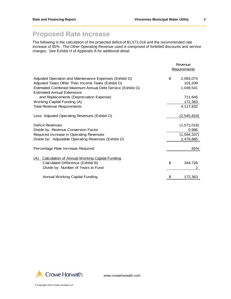# **Proposed Rate Increase**

The following is the calculation of the projected deficit of \$1,572,016 and the recommended rate increase of 65%. The Other Operating Revenue used is comprised of forfeited discounts and service charges. See Exhibit H of Appendix A for additional detail.

|                                                             | Revenue         |
|-------------------------------------------------------------|-----------------|
|                                                             | Requirements    |
| Adjusted Operation and Maintenance Expenses (Exhibit D)     | \$<br>2,083,074 |
| Adjusted Taxes Other Than Income Taxes (Exhibit D)          | 101,209         |
| Estimated Combined Maximum Annual Debt Service (Exhibit G)  | 1,049,541       |
| <b>Estimated Annual Extensions</b>                          |                 |
| and Replacements (Depreciation Expense)                     | 711,645         |
| Working Capital Funding (A)                                 | 172,363         |
| <b>Total Revenue Requirements</b>                           | 4,117,832       |
| Less: Adjusted Operating Revenues (Exhibit D)               | (2,545,816)     |
| Deficit Revenues                                            | (1,572,016)     |
| Divide by: Revenue Conversion Factor                        | 0.986           |
| Required Increase in Operating Revenues                     | (1,594,337)     |
| Divide by: Adjustable Operating Revenues (Exhibit D)        | 2,479,885       |
| Percentage Rate Increase Required                           | 65%             |
| <b>Calculation of Annual Working Capital Funding</b><br>(A) |                 |
| Calculated Difference (Exhibit B)                           | \$<br>344,726   |
| Divide by: Number of Years to Fund                          | 2               |
| Annual Working Capital Funding                              | \$<br>172,363   |



© Copyright 2016 Crowe Horwath LLP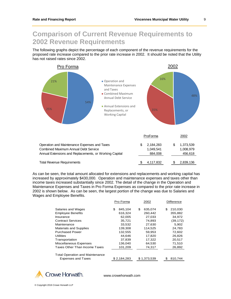# **Comparison of Current Revenue Requirements to 2002 Revenue Requirements**

The following graphs depict the percentage of each component of the revenue requirements for the proposed rate increase compared to the prior rate increase in 2002. It should be noted that the Utility has not raised rates since 2002.



As can be seen, the total amount allocated for extensions and replacements and working capital has increased by approximately \$430,000. Operation and maintenance expenses and taxes other than income taxes increased substantially since 2002. The detail of the change in the Operation and Maintenance Expenses and Taxes in Pro Forma Expenses as compared to the prior rate increase in 2002 is shown below. As can be seen, the largest portion of the change was due to Salaries and Wages and Employee Benefits.

|                                        | 2002<br>Pro Forma |             | <b>Difference</b> |    |           |
|----------------------------------------|-------------------|-------------|-------------------|----|-----------|
| Salaries and Wages                     | \$                | 845.104     | \$<br>635.074     | \$ | 210.030   |
| <b>Employee Benefits</b>               |                   | 616.324     | 260.442           |    | 355,882   |
| <b>Insurance</b>                       |                   | 62.005      | 27,033            |    | 34.972    |
| <b>Contract Services</b>               |                   | 35.721      | 74.893            |    | (39, 172) |
| Maintenance                            |                   | 33.532      | 27,630            |    | 5.902     |
| <b>Materials and Supplies</b>          |                   | 139.308     | 114,525           |    | 24,783    |
| <b>Purchased Power</b>                 |                   | 132,555     | 59,953            |    | 72,602    |
| <b>Utilities</b>                       |                   | 44.646      | 17,820            |    | 26.826    |
| Transportation                         |                   | 37,839      | 17,322            |    | 20,517    |
| <b>Miscellaneous Expenses</b>          |                   | 136,040     | 64,530            |    | 71,510    |
| Taxes Other Than Income Taxes          |                   | 101,209     | 74,317            |    | 26,892    |
|                                        |                   |             |                   |    |           |
| <b>Total Operation and Maintenance</b> |                   |             |                   |    |           |
| <b>Expenses and Taxes</b>              |                   | \$2.184.283 | \$1.373.539       | \$ | 810.744   |

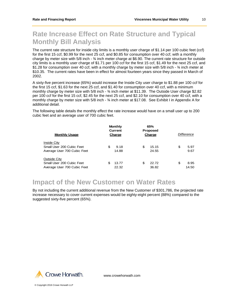# **Rate Increase Effect on Rate Structure and Typical Monthly Bill Analysis**

The current rate structure for inside city limits is a monthly user charge of \$1.14 per 100 cubic feet (ccf) for the first 15 ccf, \$0.99 for the next 25 ccf, and \$0.85 for consumption over 40 ccf, with a monthly charge by meter size with 5/8 inch -  $\frac{3}{4}$  inch meter charge at \$6.90. The current rate structure for outside city limits is a monthly user charge of \$1.71 per 100 ccf for the first 15 ccf, \$1.49 for the next 25 ccf, and \$1.28 for consumption over 40 ccf, with a monthly charge by meter size with 5/8 inch - ¾ inch meter at \$10.35. The current rates have been in effect for almost fourteen years since they passed in March of 2002.

A sixty-five percent increase (65%) would increase the Inside City user charge to \$1.88 per 100 ccf for the first 15 ccf, \$1.63 for the next 25 ccf, and \$1.40 for consumption over 40 ccf, with a minimum monthly charge by meter size with 5/8 inch - 3⁄4 inch meter at \$11.39. The Outside User charge \$2.82 per 100 ccf for the first 15 ccf, \$2.45 for the next 25 ccf, and \$2.10 for consumption over 40 ccf, with a monthly charge by meter size with 5/8 inch - ¾ inch meter at \$17.08. See Exhibit I in Appendix A for additional detail.

The following table details the monthly effect the rate increase would have on a small user up to 200 cubic feet and an average user of 700 cubic feet.

|             |                                     |       |                                  | Difference |
|-------------|-------------------------------------|-------|----------------------------------|------------|
|             |                                     |       |                                  |            |
| \$<br>9.18  | \$                                  | 15.15 | \$                               | 5.97       |
| 14.88       |                                     | 24.55 |                                  | 9.67       |
|             |                                     |       |                                  |            |
| \$<br>13.77 | S                                   | 22.72 | \$                               | 8.95       |
| 22.32       |                                     | 36.82 |                                  | 14.50      |
|             | <b>Monthly</b><br>Current<br>Charge |       | 65%<br><b>Proposed</b><br>Charge |            |

# **Impact of the New Customer on Water Rates**

By not including the current additional revenue from the New Customer of \$301,786, the projected rate increase necessary to cover current expenses would be eighty-eight percent (88%) compared to the suggested sixty-five percent (65%).



© Copyright 2016 Crowe Horwath LLP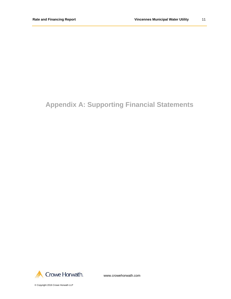# **Appendix A: Supporting Financial Statements**



www.crowehorwath.com

© Copyright 2016 Crowe Horwath LLP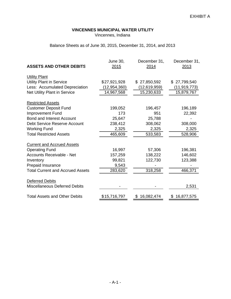Vincennes, Indiana

## Balance Sheets as of June 30, 2015, December 31, 2014, and 2013

|                                         | June 30,       | December 31, | December 31,     |
|-----------------------------------------|----------------|--------------|------------------|
| <b>ASSETS AND OTHER DEBITS</b>          | 2015           | 2014         | 2013             |
| <b>Utility Plant</b>                    |                |              |                  |
| <b>Utility Plant in Service</b>         | \$27,921,928   | \$27,850,592 | \$27,799,540     |
| Less: Accumulated Depreciation          | (12, 954, 360) | (12,619,959) | (11, 919, 773)   |
| <b>Net Utility Plant in Service</b>     | 14,967,568     | 15,230,633   | 15,879,767       |
| <b>Restricted Assets</b>                |                |              |                  |
| <b>Customer Deposit Fund</b>            | 199,052        | 196,457      | 196,189          |
| Improvement Fund                        | 173            | 951          | 22,392           |
| <b>Bond and Interest Account</b>        | 25,647         | 25,788       |                  |
| <b>Debt Service Reserve Account</b>     | 238,412        | 308,062      | 308,000          |
| <b>Working Fund</b>                     | 2,325          | 2,325        | 2,325            |
| <b>Total Restricted Assets</b>          | 465,609        | 533,583      | 528,906          |
| <b>Current and Accrued Assets</b>       |                |              |                  |
| <b>Operating Fund</b>                   | 16,997         | 57,306       | 196,381          |
| <b>Accounts Receivable - Net</b>        | 157,259        | 138,222      | 146,602          |
| Inventory                               | 99,821         | 122,730      | 123,388          |
| Prepaid Insurance                       | 9,543          |              |                  |
| <b>Total Current and Accrued Assets</b> | 283,620        | 318,258      | 466,371          |
| <b>Deferred Debits</b>                  |                |              |                  |
| <b>Miscellaneous Deferred Debits</b>    |                |              | 2,531            |
| <b>Total Assets and Other Debits</b>    | \$15,716,797   | 16,082,474   | 16,877,575<br>£. |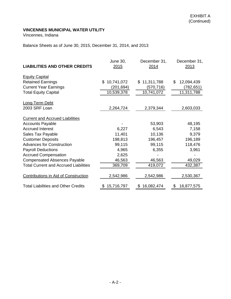Vincennes, Indiana

Balance Sheets as of June 30, 2015, December 31, 2014, and 2013

| <b>LIABILITIES AND OTHER CREDITS</b>         | June 30,<br>2015 | December 31,<br>2014 | December 31,<br>2013 |  |  |
|----------------------------------------------|------------------|----------------------|----------------------|--|--|
| <b>Equity Capital</b>                        |                  |                      |                      |  |  |
| <b>Retained Earnings</b>                     | \$10,741,072     | \$11,311,788         | 12,094,439<br>\$.    |  |  |
| <b>Current Year Earnings</b>                 | (201,694)        | (570,716)            | (782,651)            |  |  |
| <b>Total Equity Capital</b>                  | 10,539,378       | 10,741,072           | 11,311,788           |  |  |
| Long-Term Debt                               |                  |                      |                      |  |  |
| 2003 SRF Loan                                | 2,264,724        | 2,379,344            | 2,603,033            |  |  |
| <b>Current and Accrued Liabilities</b>       |                  |                      |                      |  |  |
| <b>Accounts Payable</b>                      |                  | 53,903               | 48,195               |  |  |
| <b>Accrued Interest</b>                      | 6,227            | 6,543                | 7,158                |  |  |
| Sales Tax Payable                            | 11,401           | 10,136               | 9,379                |  |  |
| <b>Customer Deposits</b>                     | 198,813          | 196,457              | 196,189              |  |  |
| <b>Advances for Construction</b>             | 99,115           | 99,115               | 118,476              |  |  |
| <b>Payroll Deductions</b>                    | 4,965            | 6,355                | 3,961                |  |  |
| <b>Accrued Compensation</b>                  | 2,625            |                      |                      |  |  |
| <b>Compensated Absences Payable</b>          | 46,563           | 46,563               | 49,029               |  |  |
| <b>Total Current and Accrued Liabilities</b> | 369,709          | 419,072              | 432,387              |  |  |
| <b>Contributions in Aid of Construction</b>  | 2,542,986        | 2,542,986            | 2,530,367            |  |  |
| <b>Total Liabilities and Other Credits</b>   | \$15,716,797     | 16,082,474<br>\$     | 16,877,575<br>\$     |  |  |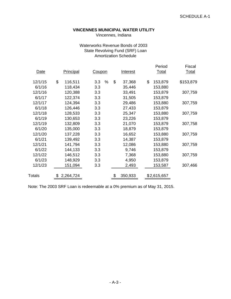Vincennes, Indiana

### State Revolving Fund (SRF) Loan Amortization Schedule Waterworks Revenue Bonds of 2003

|         |                 |          |                 | Period        | Fiscal       |
|---------|-----------------|----------|-----------------|---------------|--------------|
| Date    | Principal       | Coupon   | <b>Interest</b> | <b>Total</b>  | <b>Total</b> |
| 12/1/15 | \$<br>116,511   | %<br>3.3 | \$<br>37,368    | \$<br>153,879 | \$153,879    |
| 6/1/16  | 118,434         | 3.3      | 35,446          | 153,880       |              |
| 12/1/16 | 120,388         | 3.3      | 33,491          | 153,879       | 307,759      |
| 6/1/17  | 122,374         | 3.3      | 31,505          | 153,879       |              |
| 12/1/17 | 124,394         | 3.3      | 29,486          | 153,880       | 307,759      |
| 6/1/18  | 126,446         | 3.3      | 27,433          | 153,879       |              |
| 12/1/18 | 128,533         | 3.3      | 25,347          | 153,880       | 307,759      |
| 6/1/19  | 130,653         | 3.3      | 23,226          | 153,879       |              |
| 12/1/19 | 132,809         | 3.3      | 21,070          | 153,879       | 307,758      |
| 6/1/20  | 135,000         | 3.3      | 18,879          | 153,879       |              |
| 12/1/20 | 137,228         | 3.3      | 16,652          | 153,880       | 307,759      |
| 6/1/21  | 139,492         | 3.3      | 14,387          | 153,879       |              |
| 12/1/21 | 141,794         | 3.3      | 12,086          | 153,880       | 307,759      |
| 6/1/22  | 144,133         | 3.3      | 9,746           | 153,879       |              |
| 12/1/22 | 146,512         | 3.3      | 7,368           | 153,880       | 307,759      |
| 6/1/23  | 148,929         | 3.3      | 4,950           | 153,879       |              |
| 12/1/23 | 151,094         | 3.3      | 2,493           | 153,587       | 307,466      |
| Totals  | 2,264,724<br>\$ |          | \$<br>350,933   | \$2,615,657   |              |

Note: The 2003 SRF Loan is redeemable at a 0% premium as of May 31, 2015.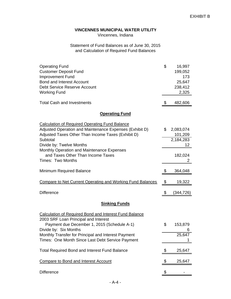Vincennes, Indiana

### Statement of Fund Balances as of June 30, 2015 and Calculation of Required Fund Balances

| <b>Operating Fund</b>                                                                                            | \$<br>16,997    |
|------------------------------------------------------------------------------------------------------------------|-----------------|
| <b>Customer Deposit Fund</b>                                                                                     | 199,052         |
| <b>Improvement Fund</b>                                                                                          | 173             |
| Bond and Interest Account                                                                                        | 25,647          |
| Debt Service Reserve Account                                                                                     | 238,412         |
| <b>Working Fund</b>                                                                                              | 2,325           |
| <b>Total Cash and Investments</b>                                                                                | \$<br>482,606   |
| <b>Operating Fund</b>                                                                                            |                 |
|                                                                                                                  |                 |
| <b>Calculation of Required Operating Fund Balance</b><br>Adjusted Operation and Maintenance Expenses (Exhibit D) | \$<br>2,083,074 |
| Adjusted Taxes Other Than Income Taxes (Exhibit D)                                                               | 101,209         |
| Subtotal                                                                                                         | 2,184,283       |
| Divide by: Twelve Months                                                                                         | 12              |
| Monthly Operation and Maintenance Expenses                                                                       |                 |
| and Taxes Other Than Income Taxes                                                                                | 182,024         |
| Times: Two Months                                                                                                |                 |
| Minimum Required Balance                                                                                         | \$<br>364,048   |
|                                                                                                                  |                 |
| <b>Compare to Net Current Operating and Working Fund Balances</b>                                                | \$<br>19,322    |
|                                                                                                                  |                 |
| <b>Difference</b>                                                                                                | \$<br>(344,726) |
| <b>Sinking Funds</b>                                                                                             |                 |
| <b>Calculation of Required Bond and Interest Fund Balance</b>                                                    |                 |
| 2003 SRF Loan Principal and Interest                                                                             |                 |
| Payment due December 1, 2015 (Schedule A-1)                                                                      | \$<br>153,879   |
| Divide by: Six Months                                                                                            | 6               |
| Monthly Transfer for Principal and Interest Payment                                                              | 25,647          |
| Times: One Month Since Last Debt Service Payment                                                                 |                 |
| <b>Total Required Bond and Interest Fund Balance</b>                                                             | \$<br>25,647    |
| <b>Compare to Bond and Interest Account</b>                                                                      | \$<br>25,647    |
|                                                                                                                  |                 |
| <b>Difference</b>                                                                                                | \$              |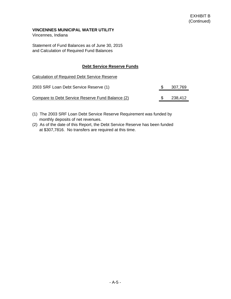Vincennes, Indiana

Statement of Fund Balances as of June 30, 2015 and Calculation of Required Fund Balances

## **Debt Service Reserve Funds**

| <b>Calculation of Required Debt Service Reserve</b> |         |
|-----------------------------------------------------|---------|
| 2003 SRF Loan Debt Service Reserve (1)              | 307,769 |
| Compare to Debt Service Reserve Fund Balance (2)    | 238,412 |

- (1) The 2003 SRF Loan Debt Service Reserve Requirement was funded by monthly deposits of net revenues.
- (2) As of the date of this Report, the Debt Service Reserve has been funded at \$307,7816. No transfers are required at this time.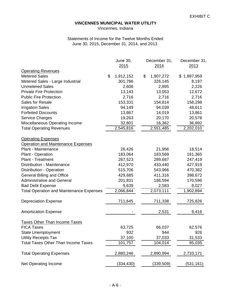Vincennes, Indiana

### Statements of Income for the Twelve Months Ended June 30, 2015, December 31, 2014, and 2013

|                                                 | June 30,        | December 31,    | December 31, |  |
|-------------------------------------------------|-----------------|-----------------|--------------|--|
|                                                 | 2015            | 2014            | 2013         |  |
| <b>Operating Revenues</b>                       |                 |                 |              |  |
| <b>Metered Sales</b>                            | \$<br>1,912,152 | \$<br>1,907,272 | \$1,897,959  |  |
| Metered Sales - Large Industrial                | 301,786         | 326,145         | 8,197        |  |
| <b>Unmetered Sales</b>                          | 2,608           | 2,895           | 2,226        |  |
| <b>Private Fire Protection</b>                  | 13,143          | 13,053          | 12,672       |  |
| <b>Public Fire Protection</b>                   | 2,716           | 2,716           | 2,716        |  |
| Sales for Resale                                | 153,331         | 154,814         | 158,298      |  |
| <b>Irrigation Sales</b>                         | 94,149          | 94,039          | 48,611       |  |
| <b>Forfeited Discounts</b>                      | 13,867          | 14,019          | 13,861       |  |
| <b>Service Charges</b>                          | 19,263          | 20,170          | 20,578       |  |
| Miscellaneous Operating Income                  | 32,801          | 16,362          | 36,892       |  |
| <b>Total Operating Revenues</b>                 | 2,545,816       | 2,551,485       | 2,202,010    |  |
| <b>Operating Expenses</b>                       |                 |                 |              |  |
| <b>Operation and Maintenance Expenses</b>       |                 |                 |              |  |
| Plant - Maintenance                             | 26,426          | 21,956          | 18,514       |  |
| Plant - Operation                               | 183,064         | 183,569         | 161,365      |  |
| Plant - Treatment                               | 287,523         | 289,687         | 247,419      |  |
| Distribution - Maintenance                      | 412,970         | 433,440         | 427,919      |  |
| Distribution - Operation                        | 515,706         | 543,966         | 470,382      |  |
| <b>General Billing and Office</b>               | 429,685         | 411,316         | 398,672      |  |
| <b>Administrative and General</b>               | 201,831         | 186,594         | 170,596      |  |
| <b>Bad Debt Expense</b>                         | 9,639           | 2,583           | 8,027        |  |
| <b>Total Operation and Maintenance Expenses</b> | 2,066,844       | 2,073,111       | 1,902,894    |  |
| <b>Depreciation Expense</b>                     | 711,645         | 711,338         | 725,826      |  |
| <b>Amortization Expense</b>                     |                 | 2,531           | 9,416        |  |
| <b>Taxes Other Than Income Taxes</b>            |                 |                 |              |  |
| <b>FICA Taxes</b>                               | 63,725          | 66,037          | 62,576       |  |
| <b>State Unemployment</b>                       | 932             | 944             | 926          |  |
| <b>Utility Receipts Tax</b>                     | 37,100          | 37,033          | 31,533       |  |
| <b>Total Taxes Other Than Income Taxes</b>      | 101,757         | 104,014         | 95,035       |  |
| <b>Total Operating Expenses</b>                 | 2,880,246       | 2,890,994       | 2,733,171    |  |
| Net Operating Income                            | (334, 430)      | (339, 509)      | (531,161)    |  |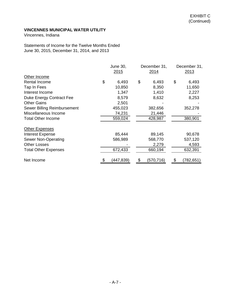Vincennes, Indiana

Statements of Income for the Twelve Months Ended June 30, 2015, December 31, 2014, and 2013

|                                 | June 30,<br>2015 |           | December 31,<br>2014 |            |    | December 31,<br>2013 |
|---------------------------------|------------------|-----------|----------------------|------------|----|----------------------|
| Other Income                    |                  |           |                      |            |    |                      |
| Rental Income                   | \$               | 6,493     | \$                   | 6,493      | \$ | 6,493                |
| Tap In Fees                     |                  | 10,850    |                      | 8,350      |    | 11,650               |
| Interest Income                 |                  | 1,347     |                      | 1,410      |    | 2,227                |
| <b>Duke Energy Contract Fee</b> |                  | 8,579     |                      | 8,632      |    | 8,253                |
| <b>Other Gains</b>              |                  | 2,501     |                      |            |    |                      |
| Sewer Billing Reimbursement     |                  | 455,023   |                      | 382,656    |    | 352,278              |
| Miscellaneous Income            |                  | 74,231    |                      | 21,446     |    |                      |
| <b>Total Other Income</b>       |                  | 559,024   |                      | 428,987    |    | 380,901              |
| <b>Other Expenses</b>           |                  |           |                      |            |    |                      |
| <b>Interest Expense</b>         |                  | 85,444    |                      | 89,145     |    | 90,678               |
| Sewer Non-Operating             |                  | 586,989   |                      | 568,770    |    | 537,120              |
| <b>Other Losses</b>             |                  |           |                      | 2,279      |    | 4,593                |
| <b>Total Other Expenses</b>     |                  | 672,433   |                      | 660,194    |    | 632,391              |
| Net Income                      |                  | (447,839) | \$                   | (570, 716) |    | (782,651)            |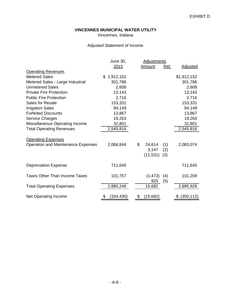Vincennes, Indiana

## Adjusted Statement of Income

|                                           | June 30,         |                |             |                 |
|-------------------------------------------|------------------|----------------|-------------|-----------------|
|                                           | 2015             | <b>Amount</b>  | <u>Ref.</u> | <b>Adjusted</b> |
| <b>Operating Revenues</b>                 |                  |                |             |                 |
| <b>Metered Sales</b>                      | \$<br>1,912,152  |                |             | \$1,912,152     |
| Metered Sales - Large Industrial          | 301,786          |                |             | 301,786         |
| <b>Unmetered Sales</b>                    | 2,608            |                |             | 2,608           |
| <b>Private Fire Protection</b>            | 13,143           |                |             | 13,143          |
| <b>Public Fire Protection</b>             | 2,716            |                |             | 2,716           |
| <b>Sales for Resale</b>                   | 153,331          |                |             | 153,331         |
| <b>Irrigation Sales</b>                   | 94,149           |                |             | 94,149          |
| <b>Forfeited Discounts</b>                | 13,867           |                |             | 13,867          |
| <b>Service Charges</b>                    | 19,263           |                |             | 19,263          |
| Miscellaneous Operating Income            | 32,801           |                |             | 32,801          |
| <b>Total Operating Revenues</b>           | 2,545,816        |                |             | 2,545,816       |
|                                           |                  |                |             |                 |
| <b>Operating Expenses</b>                 |                  |                |             |                 |
| <b>Operation and Maintenance Expenses</b> | 2,066,844        | \$<br>24,614   | (1)         | 2,083,074       |
|                                           |                  | 3,147          | (2)         |                 |
|                                           |                  | (11, 531)      | (3)         |                 |
|                                           |                  |                |             |                 |
| <b>Depreciation Expense</b>               | 711,645          |                |             | 711,645         |
| <b>Taxes Other Than Income Taxes</b>      | 101,757          | (1, 473)       | (4)         | 101,209         |
|                                           |                  | 925            | (5)         |                 |
| <b>Total Operating Expenses</b>           | 2,880,246        | 15,682         |             | 2,895,928       |
|                                           |                  |                |             |                 |
| Net Operating Income                      | \$<br>(334, 430) | \$<br>(15,682) |             | \$ (350, 112)   |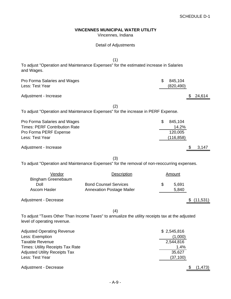Vincennes, Indiana

#### Detail of Adjustments

(1) To adjust "Operation and Maintenance Expenses" for the estimated increase in Salaries and Wages.

| Pro Forma Salaries and Wages | -SS | 845,104    |          |
|------------------------------|-----|------------|----------|
| Less: Test Year              |     | (820, 490) |          |
| Adjustment - Increase        |     |            | \$24,614 |

(2)

To adjust "Operation and Maintenance Expenses" for the increase in PERF Expense.

| Pro Forma Salaries and Wages<br><b>Times: PERF Contribution Rate</b> | \$. | 845,104<br>14.2% |             |
|----------------------------------------------------------------------|-----|------------------|-------------|
| Pro Forma PERF Expense                                               |     | 120,005          |             |
| Less: Test Year                                                      |     | (116, 858)       |             |
| Adjustment - Increase                                                |     |                  | \$<br>3,147 |

(3)

To adjust "Operation and Maintenance Expenses" for the removal of non-reoccurring expenses.

| Vendor<br>Bingham Greenebaum | <b>Description</b>               | Amount |  |
|------------------------------|----------------------------------|--------|--|
| Doll                         | <b>Bond Counsel Services</b>     | 5,691  |  |
| Ascom Hasler                 | <b>Annexation Postage Mailer</b> | 5,840  |  |

Adjustment - Decrease (11,531)

(4)

To adjust "Taxes Other Than Income Taxes" to annualize the utility receipts tax at the adjusted level of operating revenue.

| <b>Adjusted Operating Revenue</b>       | \$2,545,816 |
|-----------------------------------------|-------------|
| Less: Exemption                         | (1,000)     |
| <b>Taxable Revenue</b>                  | 2,544,816   |
| <b>Times: Utility Receipts Tax Rate</b> | 1.4%        |
| <b>Adjusted Utility Receipts Tax</b>    | 35,627      |
| Less: Test Year                         | (37, 100)   |
| Adjustment - Decrease                   | (1, 473)    |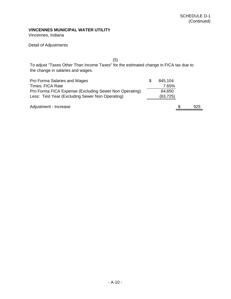Vincennes, Indiana

Detail of Adjustments

(5) To adjust "Taxes Other Than Income Taxes" for the estimated change in FICA tax due to the change in salaries and wages.

| Pro Forma Salaries and Wages                           | 845.104  |           |
|--------------------------------------------------------|----------|-----------|
| Times: FICA Rate                                       | 7.65%    |           |
| Pro Forma FICA Expense (Excluding Sewer Non Operating) | 64,650   |           |
| Less: Test Year (Excluding Sewer Non Operating)        | (63,725) |           |
|                                                        |          |           |
| Adjustment - Increase                                  |          | \$<br>925 |

- A-10 -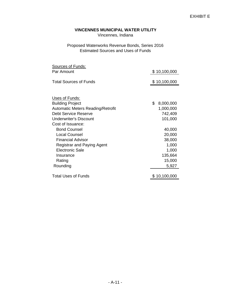Vincennes, Indiana

## Proposed Waterworks Revenue Bonds, Series 2016 Estimated Sources and Uses of Funds

| <u>Sources of Funds:</u>          |                 |
|-----------------------------------|-----------------|
| Par Amount                        | \$10,100,000    |
| <b>Total Sources of Funds</b>     | \$10,100,000    |
|                                   |                 |
| Uses of Funds:                    |                 |
| <b>Building Project</b>           | \$<br>8,000,000 |
| Automatic Meters Reading/Retrofit | 1,000,000       |
| Debt Service Reserve              | 742,409         |
| <b>Underwriter's Discount</b>     | 101,000         |
| Cost of Issuance:                 |                 |
| <b>Bond Counsel</b>               | 40,000          |
| <b>Local Counsel</b>              | 20,000          |
| <b>Financial Advisor</b>          | 38,000          |
| <b>Registrar and Paying Agent</b> | 1,000           |
| <b>Electronic Sale</b>            | 1,000           |
| Insurance                         | 135,664         |
| Rating                            | 15,000          |
| Rounding                          | 5,927           |
| Total Uses of Funds               | \$10,100,000    |
|                                   |                 |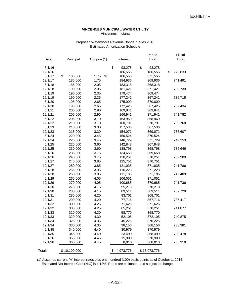Vincennes, Indiana

#### Estimated Amortization Schedule Proposed Waterworks Revenue Bonds, Series 2016

|         |                  |              |                 | Period       | Fiscal        |
|---------|------------------|--------------|-----------------|--------------|---------------|
| Date    | <b>Principal</b> | Coupon (1)   | <b>Interest</b> | Total        | Total         |
| 6/1/16  |                  |              | \$<br>93,278    | \$<br>93,278 |               |
| 12/1/16 |                  |              | 186,555         | 186,555      | \$<br>279,833 |
| 6/1/17  | \$<br>185,000    | $\%$<br>1.75 | 186,555         | 371,555      |               |
| 12/1/17 | 185,000          | 1.75         | 184,936         | 369,936      | 741,491       |
| 6/1/18  | 185,000          | 2.05         | 183,318         | 368,318      |               |
| 12/1/18 | 190,000          | 2.05         | 181,421         | 371,421      | 739,739       |
| 6/1/19  | 190,000          | 2.35         | 179,474         | 369,474      |               |
| 12/1/19 | 190,000          | 2.35         | 177,241         | 367,241      | 736,715       |
| 6/1/20  | 195,000          | 2.65         | 175,009         | 370,009      |               |
| 12/1/20 | 195,000          | 2.65         | 172,425         | 367,425      | 737,434       |
| 6/1/21  | 200,000          | 2.90         | 169,841         | 369,841      |               |
| 12/1/21 | 205,000          | 2.90         | 166,941         | 371,941      | 741,782       |
| 6/1/22  | 205,000          | 3.10         | 163,969         | 368,969      |               |
| 12/1/22 | 210,000          | 3.10         | 160,791         | 370,791      | 739,760       |
| 6/1/23  | 210,000          | 3.30         | 157,536         | 367,536      |               |
| 12/1/23 | 215,000          | 3.30         | 154,071         | 369,071      | 736,607       |
| 6/1/24  | 220,000          | 3.45         | 150,524         | 370,524      |               |
| 12/1/24 | 225,000          | 3.45         | 146,729         | 371,729      | 742,253       |
| 6/1/25  | 225,000          | 3.60         | 142,848         | 367,848      |               |
| 12/1/25 | 230,000          | 3.60         | 138,798         | 368,798      | 736,646       |
| 6/1/26  | 235,000          | 3.75         | 134,658         | 369,658      |               |
| 12/1/26 | 240,000          | 3.75         | 130,251         | 370,251      | 739,909       |
| 6/1/27  | 245,000          | 3.85         | 125,751         | 370,751      |               |
| 12/1/27 | 250,000          | 3.85         | 121,035         | 371,035      | 741,786       |
| 6/1/28  | 255,000          | 3.95         | 116,223         | 371,223      |               |
| 12/1/28 | 260,000          | 3.95         | 111,186         | 371,186      | 742,409       |
| 6/1/29  | 265,000          | 4.05         | 106,051         | 371,051      |               |
| 12/1/29 | 270,000          | 4.05         | 100,685         | 370,685      | 741,736       |
| 6/1/30  | 275,000          | 4.15         | 95,218          | 370,218      |               |
| 12/1/30 | 280,000          | 4.15         | 89,511          | 369,511      | 739,729       |
| 6/1/31  | 285,000          | 4.20         | 83,701          | 368,701      |               |
| 12/1/31 | 290,000          | 4.20         | 77,716          | 367,716      | 736,417       |
| 6/1/32  | 300,000          | 4.25         | 71,626          | 371,626      |               |
| 12/1/32 | 305,000          | 4.25         | 65,251          | 370,251      | 741,877       |
| 6/1/33  | 310,000          | 4.30         | 58,770          | 368,770      |               |
| 12/1/33 | 320,000          | 4.30         | 52,105          | 372,105      | 740,875       |
| 6/1/34  | 325,000          | 4.35         | 45,225          | 370,225      |               |
| 12/1/34 | 330,000          | 4.35         | 38,156          | 368,156      | 738,381       |
| 6/1/35  | 340,000          | 4.40         | 30,979          | 370,979      |               |
| 12/1/35 | 345,000          | 4.40         | 23,499          | 368,499      | 739,478       |
| 6/1/36  | 355,000          | 4.45         | 15,909          | 370,909      |               |
| 12/1/36 | 360,000          | 4.45         | 8,010           | 368,010      | 738,919       |
| Totals  | \$10,100,000     |              | \$<br>4,973,776 | \$15,073,776 |               |

(1) Assumes current "A" interest rates plus one hundred (100) basis points as of October 1, 2015. Estimated Net Interest Cost (NIC) is 4.12%. Rates are estimated and subject to change.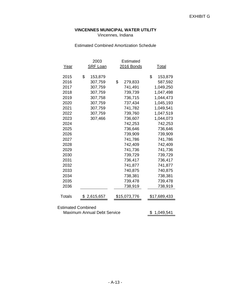Vincennes, Indiana

Estimated Combined Amortization Schedule

|                           | 2003            | Estimated    |              |
|---------------------------|-----------------|--------------|--------------|
| Year                      | <b>SRF Loan</b> | 2016 Bonds   | Total        |
| 2015                      | \$              |              | \$           |
|                           | 153,879         | \$           | 153,879      |
| 2016                      | 307,759         | 279,833      | 587,592      |
| 2017                      | 307,759         | 741,491      | 1,049,250    |
| 2018                      | 307,759         | 739,739      | 1,047,498    |
| 2019                      | 307,758         | 736,715      | 1,044,473    |
| 2020                      | 307,759         | 737,434      | 1,045,193    |
| 2021                      | 307,759         | 741,782      | 1,049,541    |
| 2022                      | 307,759         | 739,760      | 1,047,519    |
| 2023                      | 307,466         | 736,607      | 1,044,073    |
| 2024                      |                 | 742,253      | 742,253      |
| 2025                      |                 | 736,646      | 736,646      |
| 2026                      |                 | 739,909      | 739,909      |
| 2027                      |                 | 741,786      | 741,786      |
| 2028                      |                 | 742,409      | 742,409      |
| 2029                      |                 | 741,736      | 741,736      |
| 2030                      |                 | 739,729      | 739,729      |
| 2031                      |                 | 736,417      | 736,417      |
| 2032                      |                 | 741,877      | 741,877      |
| 2033                      |                 | 740,875      | 740,875      |
| 2034                      |                 | 738,381      | 738,381      |
| 2035                      |                 | 739,478      | 739,478      |
| 2036                      |                 | 738,919      | 738,919      |
| <b>Totals</b>             | 2,615,657<br>\$ | \$15,073,776 | \$17,689,433 |
| <b>Estimated Combined</b> |                 |              |              |

| \$1,049,541<br>Maximum Annual Debt Service |
|--------------------------------------------|
|--------------------------------------------|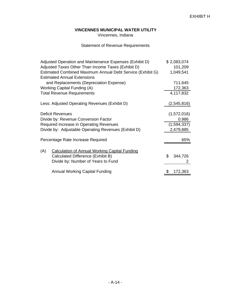Vincennes, Indiana

## Statement of Revenue Requirements

| Adjusted Operation and Maintenance Expenses (Exhibit D)                       | \$2,083,074    |
|-------------------------------------------------------------------------------|----------------|
| Adjusted Taxes Other Than Income Taxes (Exhibit D)                            | 101,209        |
| Estimated Combined Maximum Annual Debt Service (Exhibit G)                    | 1,049,541      |
| <b>Estimated Annual Extensions</b><br>and Replacements (Depreciation Expense) | 711,645        |
| <b>Working Capital Funding (A)</b>                                            | 172,363        |
| <b>Total Revenue Requirements</b>                                             | 4,117,832      |
| Less: Adjusted Operating Revenues (Exhibit D)                                 | (2,545,816)    |
| Deficit Revenues                                                              | (1,572,016)    |
| Divide by: Revenue Conversion Factor                                          | 0.986          |
| Required Increase in Operating Revenues                                       | (1,594,337)    |
| Divide by: Adjustable Operating Revenues (Exhibit D)                          | 2,479,885      |
| Percentage Rate Increase Required                                             | 65%            |
| (A)<br><b>Calculation of Annual Working Capital Funding</b>                   |                |
| Calculated Difference (Exhibit B)                                             | \$.<br>344,726 |
| Divide by: Number of Years to Fund                                            | 2              |
| Annual Working Capital Funding                                                | 172,363        |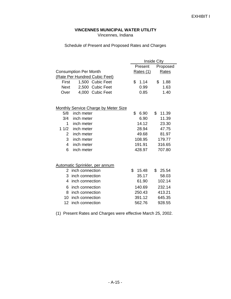Vincennes, Indiana

### Schedule of Present and Proposed Rates and Charges

| Present<br><b>Rates (1)</b><br>\$<br>1.14<br>0.99<br>0.85 | Proposed<br><b>Rates</b><br>\$<br>1.88<br>1.63<br>1.40                      |
|-----------------------------------------------------------|-----------------------------------------------------------------------------|
|                                                           |                                                                             |
|                                                           |                                                                             |
|                                                           |                                                                             |
|                                                           |                                                                             |
|                                                           |                                                                             |
|                                                           |                                                                             |
|                                                           |                                                                             |
|                                                           |                                                                             |
|                                                           |                                                                             |
|                                                           | \$<br>11.39                                                                 |
|                                                           | 11.39                                                                       |
|                                                           | 23.30                                                                       |
|                                                           | 47.75                                                                       |
|                                                           | 81.97                                                                       |
|                                                           | 179.77                                                                      |
|                                                           | 316.65                                                                      |
|                                                           | 707.80                                                                      |
|                                                           |                                                                             |
|                                                           |                                                                             |
| \$<br>15.48                                               | \$25.54                                                                     |
| 35.17                                                     | 58.03                                                                       |
| 61.90                                                     | 102.14                                                                      |
| 140.69                                                    | 232.14                                                                      |
| 250.43                                                    | 413.21                                                                      |
| 391.12                                                    | 645.35                                                                      |
| 562.76                                                    | 928.55                                                                      |
|                                                           | \$<br>6.90<br>6.90<br>14.12<br>28.94<br>49.68<br>108.95<br>191.91<br>428.97 |

(1) Present Rates and Charges were effective March 25, 2002.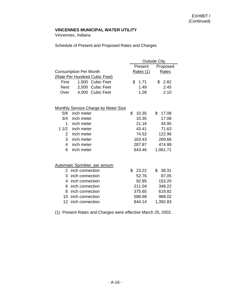Vincennes, Indiana

### Schedule of Present and Proposed Rates and Charges

|                | <b>Outside City</b>                         |    |                  |    |          |  |  |  |
|----------------|---------------------------------------------|----|------------------|----|----------|--|--|--|
|                |                                             |    | Present          |    | Proposed |  |  |  |
|                | <b>Consumption Per Month</b>                |    | <u>Rates (1)</u> |    | Rates    |  |  |  |
|                | (Rate Per Hundred Cubic Feet)               |    |                  |    |          |  |  |  |
| First          | 1,500 Cubic Feet                            | \$ | 1.71             |    | \$2.82   |  |  |  |
| <b>Next</b>    | 2,500 Cubic Feet                            |    | 1.49             |    | 2.45     |  |  |  |
| Over           | 4,000 Cubic Feet                            |    | 1.28             |    | 2.10     |  |  |  |
|                |                                             |    |                  |    |          |  |  |  |
|                |                                             |    |                  |    |          |  |  |  |
|                | <b>Monthly Service Charge by Meter Size</b> |    |                  |    |          |  |  |  |
| 5/8            | inch meter                                  | \$ | 10.35            | \$ | 17.08    |  |  |  |
| 3/4            | inch meter                                  |    | 10.35            |    | 17.08    |  |  |  |
| 1              | inch meter                                  |    | 21.18            |    | 34.95    |  |  |  |
| 11/2           | inch meter                                  |    | 43.41            |    | 71.63    |  |  |  |
| $\mathbf{2}^-$ | inch meter                                  |    | 74.52            |    | 122.96   |  |  |  |
| 3              | inch meter                                  |    | 163.43           |    | 269.66   |  |  |  |
| 4              | inch meter                                  |    | 287.87           |    | 474.99   |  |  |  |
| 6              | inch meter                                  |    | 643.46           |    | 1,061.71 |  |  |  |
|                |                                             |    |                  |    |          |  |  |  |
|                | <b>Automatic Sprinkler, per annum</b>       |    |                  |    |          |  |  |  |
|                | 2 inch connection                           | \$ | 23.22            | \$ | 38.31    |  |  |  |
| 3              | inch connection                             |    | 52.76            |    | 87.05    |  |  |  |
| 4              | inch connection                             |    | 92.85            |    | 153.20   |  |  |  |
| 6              | inch connection                             |    | 211.04           |    | 348.22   |  |  |  |
| 8              | inch connection                             |    | 375.65           |    | 619.82   |  |  |  |
| 10             | inch connection                             |    | 586.68           |    | 968.02   |  |  |  |
|                | 12 inch connection                          |    | 844.14           |    | 1,392.83 |  |  |  |
|                |                                             |    |                  |    |          |  |  |  |

(1) Present Rates and Charges were effective March 25, 2002.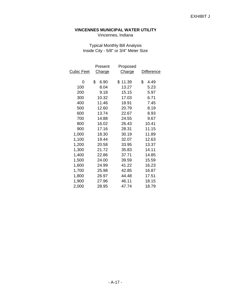Vincennes, Indiana

Inside City - 5/8" or 3/4" Meter Size Typical Monthly Bill Analysis

|                   | Present    | Proposed      |            |
|-------------------|------------|---------------|------------|
| <b>Cubic Feet</b> | Charge     | <b>Charge</b> | Difference |
| 0                 | \$<br>6.90 | \$11.39       | \$<br>4.49 |
| 100               | 8.04       | 13.27         | 5.23       |
| 200               | 9.18       | 15.15         | 5.97       |
| 300               | 10.32      | 17.03         | 6.71       |
| 400               | 11.46      | 18.91         | 7.45       |
| 500               | 12.60      | 20.79         | 8.19       |
| 600               | 13.74      | 22.67         | 8.93       |
| 700               | 14.88      | 24.55         | 9.67       |
| 800               | 16.02      | 26.43         | 10.41      |
| 900               | 17.16      | 28.31         | 11.15      |
| 1,000             | 18.30      | 30.19         | 11.89      |
| 1,100             | 19.44      | 32.07         | 12.63      |
| 1,200             | 20.58      | 33.95         | 13.37      |
| 1,300             | 21.72      | 35.83         | 14.11      |
| 1,400             | 22.86      | 37.71         | 14.85      |
| 1,500             | 24.00      | 39.59         | 15.59      |
| 1,600             | 24.99      | 41.22         | 16.23      |
| 1,700             | 25.98      | 42.85         | 16.87      |
| 1,800             | 26.97      | 44.48         | 17.51      |
| 1,900             | 27.96      | 46.11         | 18.15      |
| 2,000             | 28.95      | 47.74         | 18.79      |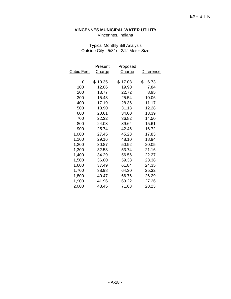Vincennes, Indiana

Typical Monthly Bill Analysis Outside City - 5/8" or 3/4" Meter Size

|                   | Present       | Proposed      |            |
|-------------------|---------------|---------------|------------|
| <b>Cubic Feet</b> | <b>Charge</b> | <u>Charge</u> | Difference |
| 0                 | \$10.35       | \$17.08       | \$<br>6.73 |
| 100               | 12.06         | 19.90         | 7.84       |
| 200               | 13.77         | 22.72         | 8.95       |
| 300               | 15.48         | 25.54         | 10.06      |
| 400               | 17.19         | 28.36         | 11.17      |
| 500               | 18.90         | 31.18         | 12.28      |
| 600               | 20.61         | 34.00         | 13.39      |
| 700               | 22.32         | 36.82         | 14.50      |
| 800               | 24.03         | 39.64         | 15.61      |
| 900               | 25.74         | 42.46         | 16.72      |
| 1,000             | 27.45         | 45.28         | 17.83      |
| 1,100             | 29.16         | 48.10         | 18.94      |
| 1,200             | 30.87         | 50.92         | 20.05      |
| 1,300             | 32.58         | 53.74         | 21.16      |
| 1,400             | 34.29         | 56.56         | 22.27      |
| 1,500             | 36.00         | 59.38         | 23.38      |
| 1,600             | 37.49         | 61.84         | 24.35      |
| 1,700             | 38.98         | 64.30         | 25.32      |
| 1,800             | 40.47         | 66.76         | 26.29      |
| 1,900             | 41.96         | 69.22         | 27.26      |
| 2,000             | 43.45         | 71.68         | 28.23      |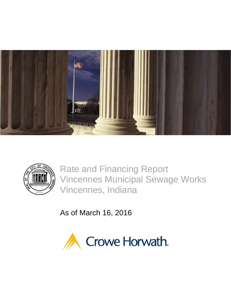



Rate and Financing Report Vincennes Municipal Sewage Works Vincennes, Indiana

As of March 16, 2016

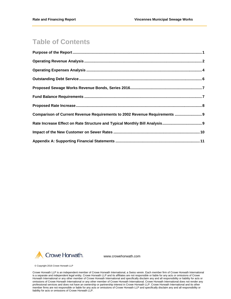# **Table of Contents**

| Comparison of Current Revenue Requirements to 2002 Revenue Requirements  9 |  |
|----------------------------------------------------------------------------|--|
|                                                                            |  |
|                                                                            |  |
|                                                                            |  |



www.crowehorwath.com

© Copyright 2016 Crowe Horwath LLP

Crowe Horwath LLP is an independent member of Crowe Horwath International, a Swiss verein. Each member firm of Crowe Horwath International is a separate and independent legal entity. Crowe Horwath LLP and its affiliates are not responsible or liable for any acts or omissions of Crowe Horwath International or any other member of Crowe Horwath International and specifically disclaim any and all responsibility or liability for acts or omissions of Crowe Horwath International or any other member of Crowe Horwath International. Crowe Horwath International does not render any professional services and does not have an ownership or partnership interest in Crowe Horwath LLP. Crowe Horwath International and its other member firms are not responsible or liable for any acts or omissions of Crowe Horwath LLP and specifically disclaim any and all responsibility or liability for acts or omissions of Crowe Horwath LLP.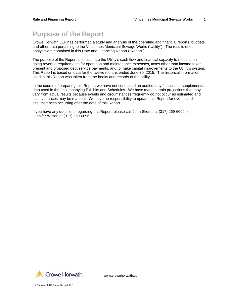# **Purpose of the Report**

Crowe Horwath LLP has performed a study and analysis of the operating and financial reports, budgets and other data pertaining to the Vincennes Municipal Sewage Works ("Utility"). The results of our analysis are contained in this Rate and Financing Report ("Report").

The purpose of the Report is to estimate the Utility's cash flow and financial capacity to meet its ongoing revenue requirements for operation and maintenance expenses, taxes other than income taxes, present and proposed debt service payments, and to make capital improvements to the Utility's system. This Report is based on data for the twelve months ended June 30, 2015. The historical information used in this Report was taken from the books and records of the Utility.

In the course of preparing this Report, we have not conducted an audit of any financial or supplemental data used in the accompanying Exhibits and Schedules. We have made certain projections that may vary from actual results because events and circumstances frequently do not occur as estimated and such variances may be material. We have no responsibility to update this Report for events and circumstances occurring after the date of this Report.

If you have any questions regarding this Report, please call John Skomp at (317) 269-6699 or Jennifer Wilson at (317) 269-6696.

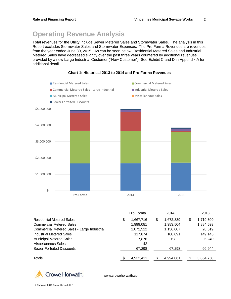# **Operating Revenue Analysis**

Total revenues for the Utility include Sewer Metered Sales and Stormwater Sales. The analysis in this Report excludes Stormwater Sales and Stormwater Expenses. The Pro Forma Revenues are revenues from the year ended June 30, 2015. As can be seen below, Residential Metered Sales and Industrial Metered Sales have decreased slightly over the past three years countered by additional revenues provided by a new Large Industrial Customer ("New Customer"). See Exhibit C and D in Appendix A for additional detail.



#### **Chart 1: Historical 2013 to 2014 and Pro Forma Revenues**

| Pro Forma       |    | 2014      |     | 2013      |
|-----------------|----|-----------|-----|-----------|
| \$<br>1,667,716 | \$ | 1,672,339 | \$  | 1,719,309 |
| 1,999,081       |    | 1,983,504 |     | 1,884,593 |
| 1,072,522       |    | 1,156,007 |     | 28,519    |
| 117,874         |    | 108,091   |     | 149,145   |
| 7,878           |    | 6,822     |     | 6,240     |
| 42              |    | ۰         |     |           |
| 67,298          |    | 67,298    |     | 66,944    |
| 4,932,411       | ዳ  | 4,994,061 | \$. | 3,854,750 |
|                 |    |           |     |           |

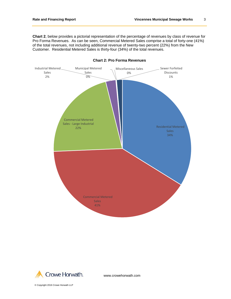**Chart 2**, below provides a pictorial representation of the percentage of revenues by class of revenue for Pro Forma Revenues. As can be seen, Commercial Metered Sales comprise a total of forty-one (41%) of the total revenues, not including additional revenue of twenty-two percent (22%) from the New Customer. Residential Metered Sales is thirty-four (34%) of the total revenues.



#### **Chart 2: Pro Forma Revenues**

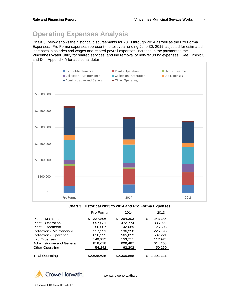# **Operating Expenses Analysis**

**Chart 3**, below shows the historical disbursements for 2013 through 2014 as well as the Pro Forma Expenses. Pro Forma expenses represent the test year ending June 30, 2015, adjusted for estimated increases in salaries and wages and related payroll expenses, increase in the payment to the Vincennes Water Utility for shared services, and the removal of non-recurring expenses. See Exhibit C and D in Appendix A for additional detail.



#### **Chart 3: Historical 2013 to 2014 and Pro Forma Expenses**

|                            |   | Pro Forma   |   | 2014        |   | 2013      |
|----------------------------|---|-------------|---|-------------|---|-----------|
| Plant - Maintenance        | S | 227,806     | S | 264,303     | S | 243,385   |
| Plant - Operation          |   | 597,631     |   | 472,774     |   | 385,922   |
| Plant - Treatment          |   | 56,667      |   | 42,089      |   | 26,506    |
| Collection - Maintenance   |   | 117,521     |   | 136,250     |   | 225,795   |
| Collection - Operation     |   | 616,225     |   | 565,052     |   | 537,221   |
| Lab Expenses               |   | 149,915     |   | 153,711     |   | 117,974   |
| Administrative and General |   | 818,618     |   | 609,487     |   | 614,258   |
| <b>Other Operating</b>     |   | 54,242      |   | 62,202      |   | 50,260    |
|                            |   |             |   |             |   |           |
| <b>Total Operating</b>     |   | \$2,638,625 |   | \$2,305,868 |   | 2,201,321 |

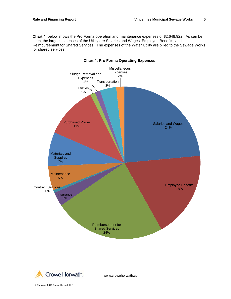**Chart 4**, below shows the Pro Forma operation and maintenance expenses of \$2,648,922. As can be seen, the largest expenses of the Utility are Salaries and Wages, Employee Benefits, and Reimbursement for Shared Services. The expenses of the Water Utility are billed to the Sewage Works for shared services.



#### **Chart 4: Pro Forma Operating Expenses**

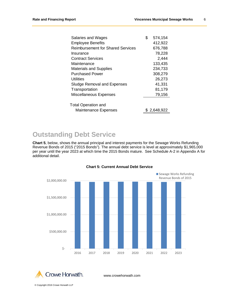| Salaries and Wages                       | \$<br>574,154 |
|------------------------------------------|---------------|
| <b>Employee Benefits</b>                 | 412,922       |
| <b>Reimbursement for Shared Services</b> | 676,788       |
| Insurance                                | 78,228        |
| <b>Contract Services</b>                 | 2,444         |
| Maintenance                              | 133,435       |
| <b>Materials and Supplies</b>            | 234,733       |
| <b>Purchased Power</b>                   | 308,279       |
| Utilities                                | 26,273        |
| <b>Sludge Removal and Expenses</b>       | 41,331        |
| Transportation                           | 81,179        |
| Miscellaneous Expenses                   | 79,156        |
|                                          |               |
| <b>Total Operation and</b>               |               |
| <b>Maintenance Expenses</b>              | \$2,648,922   |

# **Outstanding Debt Service**

**Chart 5**, below, shows the annual principal and interest payments for the Sewage Works Refunding Revenue Bonds of 2015 ("2015 Bonds"). The annual debt service is level at approximately \$1,965,000 per year until the year 2023 at which time the 2015 Bonds mature. See Schedule A-2 in Appendix A for additional detail.



**Chart 5: Current Annual Debt Service** 

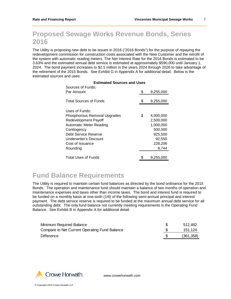# **Proposed Sewage Works Revenue Bonds, Series 2016**

The Utility is proposing new debt to be issues in 2016 ("2016 Bonds") for the purpose of repaying the redevelopment commission for construction costs associated with the New Customer and the retrofit of the system with automatic reading meters. The Net Interest Rate for the 2016 Bonds is estimated to be 3.63% and the estimated annual debt service is estimated at approximately \$590,000 until January 1, 2024. The bond payment increases to \$2.5 million in the years 2024 through 2026 to take advantage of the retirement of the 2015 Bonds. See Exhibit G in Appendix A for additional detail. Below is the estimated sources and uses:

| Sources of Funds:<br>Par Amount | S  | 9,255,000 |
|---------------------------------|----|-----------|
| <b>Total Sources of Funds</b>   |    | 9,255,000 |
| Uses of Funds:                  |    |           |
| Phosphorous Removal Upgrades    | \$ | 4,000,000 |
| <b>Redevelopment Payoff</b>     |    | 2,500,000 |
| Automatic Meter Reading         |    | 1,000,000 |
| Contingency                     |    | 500,000   |
| Debt Service Reserve            |    | 925,500   |
| Underwriter's Discount          |    | 92,550    |
| Cost of Issuance                |    | 228,206   |
| Rounding                        |    | 8,744     |
| Total Uses of Funds             |    | 9,255,000 |

#### **Estimated Sources and Uses**

# **Fund Balance Requirements**

The Utility is required to maintain certain fund balances as directed by the bond ordinance for the 2015 Bonds. The operation and maintenance fund should maintain a balance of two months of operation and maintenance expenses and taxes other than income taxes. The bond and interest fund is required to be funded on a monthly basis at one-sixth (1/6) of the following semi-annual principal and interest payment. The debt service reserve is required to be funded at the maximum annual debt service for all outstanding debt. The only fund balance not currently meeting requirements is the Operating Fund Balance. See Exhibit B in Appendix A for additional detail.

| Minimum Required Balance                      | 512.482    |
|-----------------------------------------------|------------|
| Compare to Net Current Operating Fund Balance | 151.124    |
| Difference                                    | (361, 358) |

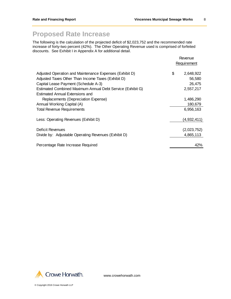# **Proposed Rate Increase**

The following is the calculation of the projected deficit of \$2,023,752 and the recommended rate increase of forty-two percent (42%). The Other Operating Revenue used is comprised of forfeited discounts. See Exhibit I in Appendix A for additional detail.

|                                                                                               | Revenue<br>Requirement |
|-----------------------------------------------------------------------------------------------|------------------------|
| Adjusted Operation and Maintenance Expenses (Exhibit D)                                       | \$<br>2,648,922        |
| Adjusted Taxes Other Than Income Taxes (Exhibit D)<br>Capital Lease Payment (Schedule A-3)    | 56,580<br>26,475       |
| Estimated Combined Maximum Annual Debt Service (Exhibit G)<br>Estimated Annual Extensions and | 2,557,217              |
| Replacements (Depreciation Expense)                                                           | 1,486,290              |
| Annual Working Capital (A)                                                                    | 180,679                |
| <b>Total Revenue Requirements</b>                                                             | 6,956,163              |
| Less: Operating Revenues (Exhibit D)                                                          | (4,932,411)            |
| Deficit Revenues                                                                              | (2,023,752)            |
| Divide by: Adjustable Operating Revenues (Exhibit D)                                          | 4,865,113              |
| Percentage Rate Increase Required                                                             | 42%                    |

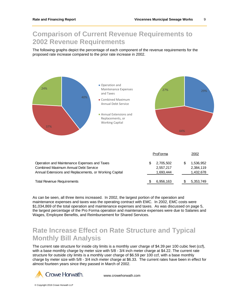# **Comparison of Current Revenue Requirements to 2002 Revenue Requirements**

The following graphs depict the percentage of each component of the revenue requirements for the proposed rate increase compared to the prior rate increase in 2002.



As can be seen, all three items increased. In 2002, the largest portion of the operation and maintenance expenses and taxes was the operating contract with EMC. In 2002, EMC costs were \$1,034,869 of the total operation and maintenance expenses and taxes. As was discussed on page 5, the largest percentage of the Pro Forma operation and maintenance expenses were due to Salaries and Wages, Employee Benefits, and Reimbursement for Shared Services.

# **Rate Increase Effect on Rate Structure and Typical Monthly Bill Analysis**

The current rate structure for inside city limits is a monthly user charge of \$4.39 per 100 cubic feet (ccf), with a base monthly charge by meter size with  $5/8 \cdot 3/4$  inch meter charge at \$4.22. The current rate structure for outside city limits is a monthly user charge of \$6.59 per 100 ccf, with a base monthly charge by meter size with 5/8 - 3/4 inch meter charge at \$6.33. The current rates have been in effect for almost fourteen years since they passed in March of 2002.

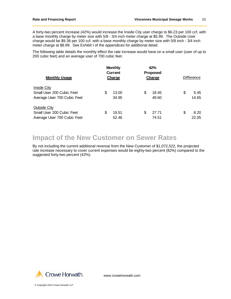A forty-two percent increase (42%) would increase the Inside City user charge to \$6.23 per 100 ccf, with a base monthly charge by meter size with 5/8 - 3/4 inch meter charge at \$5.99. The Outside User charge would be \$9.36 per 100 ccf, with a base monthly charge by meter size with 5/8 inch - 3/4 inch meter charge at \$8.99. See Exhibit I of the appendices for additional detail.

The following table details the monthly effect the rate increase would have on a small user (user of up to 200 cubic feet) and an average user of 700 cubic feet.

|    |       |                                                   |       | <b>Difference</b>                |       |  |
|----|-------|---------------------------------------------------|-------|----------------------------------|-------|--|
|    |       |                                                   |       |                                  |       |  |
| \$ | 13.00 | \$                                                | 18.45 | \$                               | 5.45  |  |
|    | 34.95 |                                                   | 49.60 |                                  | 14.65 |  |
|    |       |                                                   |       |                                  |       |  |
| S  | 19.51 | S                                                 | 27.71 | \$                               | 8.20  |  |
|    | 52.46 |                                                   | 74.51 |                                  | 22.05 |  |
|    |       | <b>Monthly</b><br><b>Current</b><br><b>Charge</b> |       | 42%<br><b>Proposed</b><br>Charge |       |  |

# **Impact of the New Customer on Sewer Rates**

By not including the current additional revenue from the New Customer of \$1,072,522, the projected rate increase necessary to cover current expenses would be eighty-two percent (82%) compared to the suggested forty-two percent (42%).

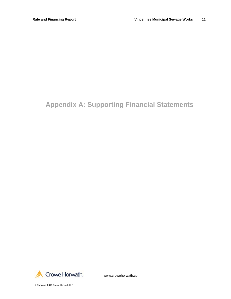# **Appendix A: Supporting Financial Statements**

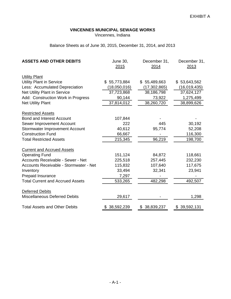Vincennes, Indiana

## Balance Sheets as of June 30, 2015, December 31, 2014, and 2013

| <b>ASSETS AND OTHER DEBITS</b>          | <b>June 30,</b><br>2015 | December 31,<br>2014 | December 31,<br>2013 |
|-----------------------------------------|-------------------------|----------------------|----------------------|
| <b>Utility Plant</b>                    |                         |                      |                      |
| <b>Utility Plant in Service</b>         | \$55,773,884            | \$55,489,663         | \$53,643,562         |
| Less: Accumulated Depreciation          | (18,050,016)            | (17, 302, 865)       | (16,019,435)         |
| Net Utility Plant in Service            | 37,723,868              | 38,186,798           | 37,624,127           |
| Add: Construction Work in Progress      | 90,144                  | 73,922               | 1,275,499            |
| <b>Net Utility Plant</b>                | 37,814,012              | 38,260,720           | 38,899,626           |
| <b>Restricted Assets</b>                |                         |                      |                      |
| <b>Bond and Interest Account</b>        | 107,844                 |                      |                      |
| Sewer Improvement Account               | 222                     | 445                  | 30,192               |
| Stormwater Improvement Account          | 40,612                  | 95,774               | 52,208               |
| <b>Construction Fund</b>                | 66,667                  |                      | 116,300              |
| <b>Total Restricted Assets</b>          | 215,345                 | 96,219               | 198,700              |
| <b>Current and Accrued Assets</b>       |                         |                      |                      |
| <b>Operating Fund</b>                   | 151,124                 | 84,872               | 118,661              |
| Accounts Receivable - Sewer - Net       | 225,518                 | 257,445              | 232,230              |
| Accounts Receivable - Stormwater - Net  | 115,832                 | 107,640              | 117,675              |
| Inventory                               | 33,494                  | 32,341               | 23,941               |
| Prepaid Insurance                       | 7,297                   |                      |                      |
| <b>Total Current and Accrued Assets</b> | 533,265                 | 482,298              | 492,507              |
| <b>Deferred Debits</b>                  |                         |                      |                      |
| <b>Miscellaneous Deferred Debits</b>    | 29,617                  |                      | 1,298                |
| <b>Total Assets and Other Debits</b>    | \$38,592,239            | \$38,839,237         | \$39,592,131         |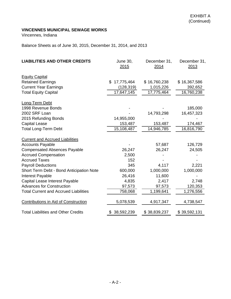Vincennes, Indiana

Balance Sheets as of June 30, 2015, December 31, 2014, and 2013

| <b>LIABILITIES AND OTHER CREDITS</b>         | June 30,<br>2015 | December 31,<br>2014 | December 31,<br>2013 |
|----------------------------------------------|------------------|----------------------|----------------------|
| <b>Equity Capital</b>                        |                  |                      |                      |
| <b>Retained Earnings</b>                     | 17,775,464<br>\$ | \$16,760,238         | \$16,367,586         |
| <b>Current Year Earnings</b>                 | (128, 319)       | 1,015,226            | 392,652              |
| <b>Total Equity Capital</b>                  | 17,647,145       | 17,775,464           | 16,760,238           |
| Long-Term Debt                               |                  |                      |                      |
| 1998 Revenue Bonds                           |                  |                      | 185,000              |
| 2002 SRF Loan                                |                  | 14,793,298           | 16,457,323           |
| 2015 Refunding Bonds                         | 14,955,000       |                      |                      |
| <b>Capital Lease</b>                         | 153,487          | 153,487              | 174,467              |
| <b>Total Long-Term Debt</b>                  | 15,108,487       | 14,946,785           | 16,816,790           |
| <b>Current and Accrued Liabilities</b>       |                  |                      |                      |
| <b>Accounts Payable</b>                      |                  | 57,687               | 126,729              |
| <b>Compensated Absences Payable</b>          | 26,247           | 26,247               | 24,505               |
| <b>Accrued Compensation</b>                  | 2,500            |                      |                      |
| <b>Accrued Taxes</b>                         | 152              |                      |                      |
| <b>Payroll Deductions</b>                    | 345              | 4,117                | 2,221                |
| Short Term Debt - Bond Anticipation Note     | 600,000          | 1,000,000            | 1,000,000            |
| Interest Payable                             | 26,416           | 11,600               |                      |
| Capital Lease Interest Payable               | 4,835            | 2,417                | 2,748                |
| <b>Advances for Construction</b>             | 97,573           | 97,573               | 120,353              |
| <b>Total Current and Accrued Liabilities</b> | 758,068          | 1,199,641            | 1,276,556            |
| <b>Contributions in Aid of Construction</b>  | 5,078,539        | 4,917,347            | 4,738,547            |
| <b>Total Liabilities and Other Credits</b>   | 38,592,239<br>\$ | \$38,839,237         | \$39,592,131         |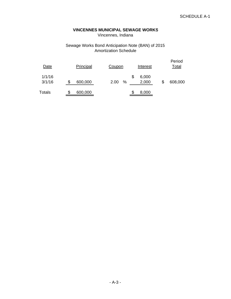## **VINCENNES MUNICIPAL SEWAGE WORKS** Vincennes, Indiana

### Sewage Works Bond Anticipation Note (BAN) of 2015 Amortization Schedule

| Date             | Principal     | Coupon |      |    | Interest       |   | Period<br>Total |
|------------------|---------------|--------|------|----|----------------|---|-----------------|
| 1/1/16<br>3/1/16 | \$<br>600,000 | 2.00   | $\%$ | \$ | 6,000<br>2,000 | S | 608,000         |
| Totals           | \$<br>600,000 |        |      | S  | 8,000          |   |                 |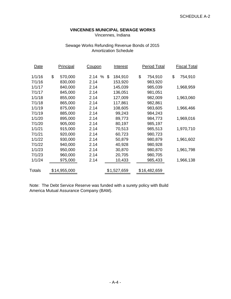Vincennes, Indiana

### Sewage Works Refunding Revenue Bonds of 2015 Amortization Schedule

| \$<br>\$<br>\$<br>1/1/16<br>%\$<br>570,000<br>184,910<br>2.14<br>754,910<br>7/1/16<br>830,000<br>2.14<br>153,920<br>983,920<br>1/1/17<br>840,000<br>2.14<br>145,039<br>985,039<br>7/1/17<br>845,000<br>2.14<br>136,051<br>981,051<br>1/1/18<br>855,000<br>127,009<br>982,009<br>2.14<br>7/1/18<br>117,861<br>865,000<br>2.14<br>982,861<br>1/1/19<br>875,000<br>2.14<br>108,605<br>983,605<br>7/1/19<br>99,243<br>885,000<br>2.14<br>984,243<br>1/1/20<br>895,000<br>2.14<br>89,773<br>984,773<br>7/1/20<br>905,000<br>2.14<br>80,197<br>985,197<br>1/1/21<br>915,000<br>2.14<br>70,513<br>985,513<br>7/1/21<br>920,000<br>2.14<br>60,723<br>980,723<br>1/1/22<br>930,000<br>2.14<br>50,879<br>980,879<br>7/1/22<br>940,000<br>2.14<br>40,928<br>980,928<br>1/1/23<br>2.14<br>950,000<br>30,870<br>980,870<br>7/1/23<br>960,000<br>2.14<br>20,705<br>980,705<br>1/1/24<br>975,000<br>10,433<br>985,433<br>2.14 | Date | <b>Principal</b> | <b>Coupon</b> |  | <b>Interest</b> | <b>Period Total</b> | <b>Fiscal Total</b> |
|----------------------------------------------------------------------------------------------------------------------------------------------------------------------------------------------------------------------------------------------------------------------------------------------------------------------------------------------------------------------------------------------------------------------------------------------------------------------------------------------------------------------------------------------------------------------------------------------------------------------------------------------------------------------------------------------------------------------------------------------------------------------------------------------------------------------------------------------------------------------------------------------------------------|------|------------------|---------------|--|-----------------|---------------------|---------------------|
|                                                                                                                                                                                                                                                                                                                                                                                                                                                                                                                                                                                                                                                                                                                                                                                                                                                                                                                |      |                  |               |  |                 |                     | 754,910             |
|                                                                                                                                                                                                                                                                                                                                                                                                                                                                                                                                                                                                                                                                                                                                                                                                                                                                                                                |      |                  |               |  |                 |                     | 1,968,959           |
|                                                                                                                                                                                                                                                                                                                                                                                                                                                                                                                                                                                                                                                                                                                                                                                                                                                                                                                |      |                  |               |  |                 |                     |                     |
|                                                                                                                                                                                                                                                                                                                                                                                                                                                                                                                                                                                                                                                                                                                                                                                                                                                                                                                |      |                  |               |  |                 |                     | 1,963,060           |
|                                                                                                                                                                                                                                                                                                                                                                                                                                                                                                                                                                                                                                                                                                                                                                                                                                                                                                                |      |                  |               |  |                 |                     |                     |
|                                                                                                                                                                                                                                                                                                                                                                                                                                                                                                                                                                                                                                                                                                                                                                                                                                                                                                                |      |                  |               |  |                 |                     | 1,966,466           |
|                                                                                                                                                                                                                                                                                                                                                                                                                                                                                                                                                                                                                                                                                                                                                                                                                                                                                                                |      |                  |               |  |                 |                     |                     |
|                                                                                                                                                                                                                                                                                                                                                                                                                                                                                                                                                                                                                                                                                                                                                                                                                                                                                                                |      |                  |               |  |                 |                     | 1,969,016           |
|                                                                                                                                                                                                                                                                                                                                                                                                                                                                                                                                                                                                                                                                                                                                                                                                                                                                                                                |      |                  |               |  |                 |                     |                     |
|                                                                                                                                                                                                                                                                                                                                                                                                                                                                                                                                                                                                                                                                                                                                                                                                                                                                                                                |      |                  |               |  |                 |                     | 1,970,710           |
|                                                                                                                                                                                                                                                                                                                                                                                                                                                                                                                                                                                                                                                                                                                                                                                                                                                                                                                |      |                  |               |  |                 |                     |                     |
|                                                                                                                                                                                                                                                                                                                                                                                                                                                                                                                                                                                                                                                                                                                                                                                                                                                                                                                |      |                  |               |  |                 |                     | 1,961,602           |
|                                                                                                                                                                                                                                                                                                                                                                                                                                                                                                                                                                                                                                                                                                                                                                                                                                                                                                                |      |                  |               |  |                 |                     |                     |
|                                                                                                                                                                                                                                                                                                                                                                                                                                                                                                                                                                                                                                                                                                                                                                                                                                                                                                                |      |                  |               |  |                 |                     | 1,961,798           |
|                                                                                                                                                                                                                                                                                                                                                                                                                                                                                                                                                                                                                                                                                                                                                                                                                                                                                                                |      |                  |               |  |                 |                     |                     |
|                                                                                                                                                                                                                                                                                                                                                                                                                                                                                                                                                                                                                                                                                                                                                                                                                                                                                                                |      |                  |               |  |                 |                     | 1,966,138           |
| \$14,955,000<br>\$1,527,659<br>\$16,482,659<br>Totals                                                                                                                                                                                                                                                                                                                                                                                                                                                                                                                                                                                                                                                                                                                                                                                                                                                          |      |                  |               |  |                 |                     |                     |

Note: The Debt Service Reserve was funded with a surety policy with Build America Mutual Assurance Company (BAM).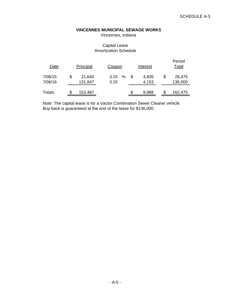Vincennes, Indiana

### Capital Lease Amortization Schedule

| Date               | Principal               | Coupon       |   | Interest             |    | Period<br>Total   |
|--------------------|-------------------------|--------------|---|----------------------|----|-------------------|
| 7/06/15<br>7/06/16 | \$<br>21,640<br>131,847 | 3.15<br>3.15 | % | \$<br>4,835<br>4,153 | \$ | 26,475<br>136,000 |
| <b>Totals</b>      | \$<br>153,487           |              |   | 8,988                | S  | 162,475           |

Note: The capital lease is for a Vactor Combination Sewer Cleaner vehicle. Buy-back is guaranteed at the end of the lease for \$136,000.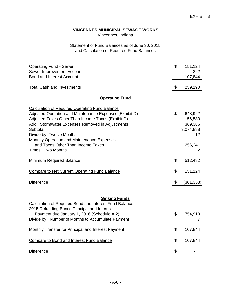Vincennes, Indiana

### Statement of Fund Balances as of June 30, 2015 and Calculation of Required Fund Balances

| <b>Operating Fund - Sewer</b>                                                   | \$<br>151,124    |
|---------------------------------------------------------------------------------|------------------|
| Sewer Improvement Account                                                       | 222              |
| <b>Bond and Interest Account</b>                                                | 107,844          |
| <b>Total Cash and Investments</b>                                               | \$<br>259,190    |
| <b>Operating Fund</b>                                                           |                  |
| <b>Calculation of Required Operating Fund Balance</b>                           |                  |
| Adjusted Operation and Maintenance Expenses (Exhibit D)                         | \$<br>2,648,922  |
| Adjusted Taxes Other Than Income Taxes (Exhibit D)                              | 56,580           |
| Add: Stormwater Expenses Removed in Adjustments                                 | 369,386          |
| Subtotal                                                                        | 3,074,888        |
| Divide by: Twelve Months                                                        | 12               |
| Monthly Operation and Maintenance Expenses<br>and Taxes Other Than Income Taxes |                  |
| Times: Two Months                                                               | 256,241<br>2     |
|                                                                                 |                  |
| Minimum Required Balance                                                        | \$<br>512,482    |
| <b>Compare to Net Current Operating Fund Balance</b>                            | \$<br>151,124    |
| <b>Difference</b>                                                               | \$<br>(361, 358) |
|                                                                                 |                  |
| <b>Sinking Funds</b>                                                            |                  |
| <b>Calculation of Required Bond and Interest Fund Balance</b>                   |                  |
| 2015 Refunding Bonds Principal and Interest                                     |                  |
| Payment due January 1, 2016 (Schedule A-2)                                      | \$<br>754,910    |
| Divide by: Number of Months to Accumulate Payment                               | 7                |
| Monthly Transfer for Principal and Interest Payment                             | \$<br>107,844    |
| Compare to Bond and Interest Fund Balance                                       | \$<br>107,844    |
| <b>Difference</b>                                                               | \$               |
|                                                                                 |                  |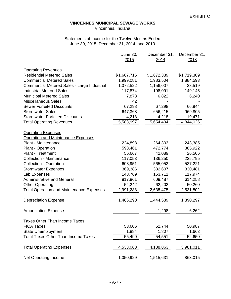Vincennes, Indiana

## Statements of Income for the Twelve Months Ended June 30, 2015, December 31, 2014, and 2013

|                                                 | <b>June 30,</b> | December 31, | December 31, |
|-------------------------------------------------|-----------------|--------------|--------------|
|                                                 | 2015            | 2014         | 2013         |
| <b>Operating Revenues</b>                       |                 |              |              |
| <b>Residential Metered Sales</b>                | \$1,667,716     | \$1,672,339  | \$1,719,309  |
| <b>Commercial Metered Sales</b>                 | 1,999,081       | 1,983,504    | 1,884,593    |
| Commercial Metered Sales - Large Industrial     | 1,072,522       | 1,156,007    | 28,519       |
| <b>Industrial Metered Sales</b>                 | 117,874         | 108,091      | 149,145      |
| <b>Municipal Metered Sales</b>                  | 7,878           | 6,822        | 6,240        |
| <b>Miscellaneous Sales</b>                      | 42              |              |              |
| <b>Sewer Forfeited Discounts</b>                | 67,298          | 67,298       | 66,944       |
| <b>Stormwater Sales</b>                         | 647,368         | 656,215      | 969,805      |
| <b>Stormwater Forfeited Discounts</b>           | 4,218           | 4,218        | 19,471       |
| <b>Total Operating Revenues</b>                 | 5,583,997       | 5,654,494    | 4,844,026    |
| <b>Operating Expenses</b>                       |                 |              |              |
| <b>Operation and Maintenance Expenses</b>       |                 |              |              |
| Plant - Maintenance                             | 224,898         | 264,303      | 243,385      |
| Plant - Operation                               | 593,461         | 472,774      | 385,922      |
| <b>Plant - Treatment</b>                        | 56,667          | 42,089       | 26,506       |
| <b>Collection - Maintenance</b>                 | 117,053         | 136,250      | 225,795      |
| <b>Collection - Operation</b>                   | 608,951         | 565,052      | 537,221      |
| <b>Stormwater Expenses</b>                      | 369,386         | 332,607      | 330,481      |
| Lab Expenses                                    | 148,769         | 153,711      | 117,974      |
| <b>Administrative and General</b>               | 817,861         | 609,487      | 614,258      |
| <b>Other Operating</b>                          | 54,242          | 62,202       | 50,260       |
| <b>Total Operation and Maintenance Expenses</b> | 2,991,288       | 2,638,475    | 2,531,802    |
| <b>Depreciation Expense</b>                     | 1,486,290       | 1,444,539    | 1,390,297    |
| <b>Amortization Expense</b>                     |                 | 1,298        | 6,262        |
| <b>Taxes Other Than Income Taxes</b>            |                 |              |              |
| <b>FICA Taxes</b>                               | 53,606          | 52,744       | 50,987       |
| <b>State Unemployment</b>                       | 1,884           | 1,807        | 1,663        |
| <b>Total Taxes Other Than Income Taxes</b>      | 55,490          | 54,551       | 52,650       |
| <b>Total Operating Expenses</b>                 | 4,533,068       | 4,138,863    | 3,981,011    |
| Net Operating Income                            | 1,050,929       | 1,515,631    | 863,015      |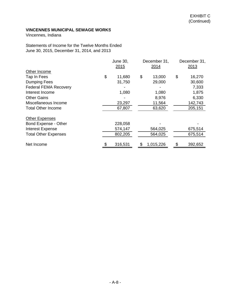Vincennes, Indiana

Statements of Income for the Twelve Months Ended June 30, 2015, December 31, 2014, and 2013

|                              | <b>June 30,</b><br>2015 | December 31,<br>2014 |           | December 31,<br>2013 |
|------------------------------|-------------------------|----------------------|-----------|----------------------|
| Other Income                 |                         |                      |           |                      |
| Tap In Fees                  | \$<br>11,680            | \$                   | 13,000    | \$<br>16,270         |
| Dumping Fees                 | 31,750                  |                      | 29,000    | 30,600               |
| <b>Federal FEMA Recovery</b> |                         |                      |           | 7,333                |
| Interest Income              | 1,080                   |                      | 1,080     | 1,875                |
| <b>Other Gains</b>           |                         |                      | 8,976     | 6,330                |
| Miscellaneous Income         | 23,297                  |                      | 11,564    | 142,743              |
| <b>Total Other Income</b>    | 67,807                  |                      | 63,620    | 205,151              |
| <b>Other Expenses</b>        |                         |                      |           |                      |
| Bond Expense - Other         | 228,058                 |                      |           |                      |
| <b>Interest Expense</b>      | 574,147                 |                      | 564,025   | 675,514              |
| <b>Total Other Expenses</b>  | 802,205                 |                      | 564,025   | 675,514              |
| Net Income                   | 316,531                 | \$                   | 1,015,226 | \$<br>392,652        |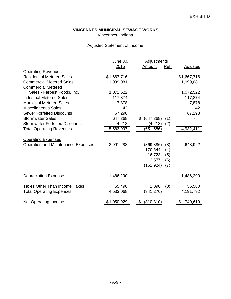Vincennes, Indiana

## Adjusted Statement of Income

|                                           | June 30,    | <b>Adjustments</b> |             |                 |
|-------------------------------------------|-------------|--------------------|-------------|-----------------|
|                                           | 2015        | Amount             | <u>Ref.</u> | <b>Adjusted</b> |
| <b>Operating Revenues</b>                 |             |                    |             |                 |
| <b>Residential Metered Sales</b>          | \$1,667,716 |                    |             | \$1,667,716     |
| <b>Commercial Metered Sales</b>           | 1,999,081   |                    |             | 1,999,081       |
| <b>Commercial Metered</b>                 |             |                    |             |                 |
| Sales - Farbest Foods, Inc.               | 1,072,522   |                    |             | 1,072,522       |
| <b>Industrial Metered Sales</b>           | 117,874     |                    |             | 117,874         |
| <b>Municipal Metered Sales</b>            | 7,878       |                    |             | 7,878           |
| <b>Miscellaneous Sales</b>                | 42          |                    |             | 42              |
| <b>Sewer Forfeited Discounts</b>          | 67,298      |                    |             | 67,298          |
| <b>Stormwater Sales</b>                   | 647,368     | (647, 368)<br>\$   | (1)         |                 |
| <b>Stormwater Forfeited Discounts</b>     | 4,218       | (4,218)            | (2)         |                 |
| <b>Total Operating Revenues</b>           | 5,583,997   | (651, 586)         |             | 4,932,411       |
|                                           |             |                    |             |                 |
| <b>Operating Expenses</b>                 |             |                    |             |                 |
| <b>Operation and Maintenance Expenses</b> | 2,991,288   | (369, 386)         | (3)         | 2,648,922       |
|                                           |             | 170,644            | (4)         |                 |
|                                           |             | 16,723             | (5)         |                 |
|                                           |             | 2,577              | (6)         |                 |
|                                           |             | (162, 924)         | (7)         |                 |
| <b>Depreciation Expense</b>               | 1,486,290   |                    |             | 1,486,290       |
|                                           |             |                    |             |                 |
| <b>Taxes Other Than Income Taxes</b>      | 55,490      | 1,090              | (8)         | 56,580          |
| <b>Total Operating Expenses</b>           | 4,533,068   | (341, 276)         |             | 4,191,792       |
| <b>Net Operating Income</b>               | \$1,050,929 | (310, 310)<br>\$   |             | 740,619<br>\$   |
|                                           |             |                    |             |                 |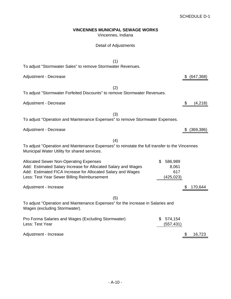Vincennes, Indiana

Detail of Adjustments

| (1)<br>To adjust "Stormwater Sales" to remove Stormwater Revenues.                                                                                                                                                      |                |
|-------------------------------------------------------------------------------------------------------------------------------------------------------------------------------------------------------------------------|----------------|
| Adjustment - Decrease                                                                                                                                                                                                   | (647, 368)     |
| (2)<br>To adjust "Stormwater Forfeited Discounts" to remove Stormwater Revenues.                                                                                                                                        |                |
| Adjustment - Decrease                                                                                                                                                                                                   | (4,218)<br>-\$ |
| (3)<br>To adjust "Operation and Maintenance Expenses" to remove Stormwater Expenses.                                                                                                                                    |                |
| Adjustment - Decrease                                                                                                                                                                                                   | (369,386)      |
| (4)<br>To adjust "Operation and Maintenance Expenses" to reinstate the full transfer to the Vincennes<br>Municipal Water Utility for shared services.<br><b>Allocated Sewer Non-Operating Expenses</b><br>586,989<br>\$ |                |
| Add: Estimated Salary Increase for Allocated Salary and Wages<br>Add: Estimated FICA Increase for Allocated Salary and Wages<br>(425, 023)<br>Less: Test Year Sewer Billing Reimbursement                               | 8,061<br>617   |
| Adjustment - Increase                                                                                                                                                                                                   | 170,644        |
| (5)<br>To adjust "Operation and Maintenance Expenses" for the increase in Salaries and<br>Wages (excluding Stormwater).                                                                                                 |                |
| 574,154<br>Pro Forma Salaries and Wages (Excluding Stormwater)<br>Less: Test Year<br>(557, 431)                                                                                                                         |                |
| Adjustment - Increase                                                                                                                                                                                                   | \$<br>16,723   |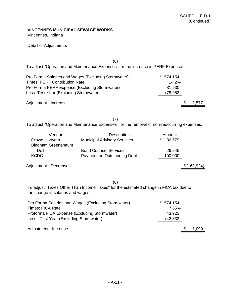Vincennes, Indiana

Detail of Adjustments

| (6)                                                                              |           |       |
|----------------------------------------------------------------------------------|-----------|-------|
| To adjust "Operation and Maintenance Expenses" for the increase in PERF Expense. |           |       |
| Pro Forma Salaries and Wages (Excluding Stormwater)                              | \$574,154 |       |
| <b>Times: PERF Contribution Rate</b>                                             | 14.2%     |       |
| Pro Forma PERF Expense (Excluding Stormwater)                                    | 81,530    |       |
| Less: Test Year (Excluding Stormwater)                                           | (78, 953) |       |
| Adjustment - Increase                                                            |           | 2.577 |

(7)

To adjust "Operation and Maintenance Expenses" for the removal of non-reoccurring expenses.

| Vendor                | Description                        | Amount  |              |
|-----------------------|------------------------------------|---------|--------------|
| Crowe Horwath         | <b>Municipal Advisory Services</b> | 36,679  |              |
| Bingham Greenebaum    |                                    |         |              |
| Doll                  | <b>Bond Counsel Services</b>       | 26,245  |              |
| <b>KCDC</b>           | Payment on Outstanding Debt        | 100,000 |              |
| Adjustment - Decrease |                                    |         | \$(162, 924) |

(8)

To adjust "Taxes Other Than Income Taxes" for the estimated change in FICA tax due to the change in salaries and wages.

| Pro Forma Salaries and Wages (Excluding Stormwater) | \$574,154 |       |
|-----------------------------------------------------|-----------|-------|
| Times: FICA Rate                                    | 7.65%     |       |
| Proforma FICA Expense (Excluding Stormwater)        | 43,923    |       |
| Less: Test Year (Excluding Stormwater)              | (42,833)  |       |
| Adjustment - Increase                               |           | 1.090 |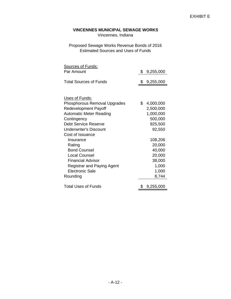### **VINCENNES MUNICIPAL SEWAGE WORKS** Vincennes, Indiana

### Proposed Sewage Works Revenue Bonds of 2016 Estimated Sources and Uses of Funds

| <b>Sources of Funds:</b>          |                 |
|-----------------------------------|-----------------|
| Par Amount                        | \$<br>9,255,000 |
| <b>Total Sources of Funds</b>     | \$9,255,000     |
|                                   |                 |
| Uses of Funds:                    |                 |
| Phosphorous Removal Upgrades      | \$<br>4,000,000 |
| <b>Redevelopment Payoff</b>       | 2,500,000       |
| <b>Automatic Meter Reading</b>    | 1,000,000       |
| Contingency                       | 500,000         |
| Debt Service Reserve              | 925,500         |
| Underwriter's Discount            | 92,550          |
| Cost of Issuance                  |                 |
| Insurance                         | 108,206         |
| Rating                            | 20,000          |
| <b>Bond Counsel</b>               | 40,000          |
| <b>Local Counsel</b>              | 20,000          |
| <b>Financial Advisor</b>          | 38,000          |
| <b>Registrar and Paying Agent</b> | 1,000           |
| <b>Electronic Sale</b>            | 1,000           |
| Rounding                          | 8,744           |
| Total Uses of Funds               | 9,255,000       |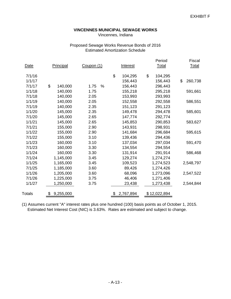Vincennes, Indiana

### Proposed Sewage Works Revenue Bonds of 2016 Estimated Amortization Schedule

| Date   | <b>Principal</b> | Coupon (1) | Interest        | Period<br><b>Total</b> | Fiscal<br><u>Total</u> |
|--------|------------------|------------|-----------------|------------------------|------------------------|
| 7/1/16 |                  |            | \$<br>104,295   | \$<br>104,295          |                        |
| 1/1/17 |                  |            | 156,443         | 156,443                | \$<br>260,738          |
| 7/1/17 | \$<br>140,000    | 1.75<br>%  | 156,443         | 296,443                |                        |
| 1/1/18 | 140,000          | 1.75       | 155,218         | 295,218                | 591,661                |
| 7/1/18 | 140,000          | 2.05       | 153,993         | 293,993                |                        |
| 1/1/19 | 140,000          | 2.05       | 152,558         | 292,558                | 586,551                |
| 7/1/19 | 140,000          | 2.35       | 151,123         | 291,123                |                        |
| 1/1/20 | 145,000          | 2.35       | 149,478         | 294,478                | 585,601                |
| 7/1/20 | 145,000          | 2.65       | 147,774         | 292,774                |                        |
| 1/1/21 | 145,000          | 2.65       | 145,853         | 290,853                | 583,627                |
| 7/1/21 | 155,000          | 2.90       | 143,931         | 298,931                |                        |
| 1/1/22 | 155,000          | 2.90       | 141,684         | 296,684                | 595,615                |
| 7/1/22 | 155,000          | 3.10       | 139,436         | 294,436                |                        |
| 1/1/23 | 160,000          | 3.10       | 137,034         | 297,034                | 591,470                |
| 7/1/23 | 160,000          | 3.30       | 134,554         | 294,554                |                        |
| 1/1/24 | 160,000          | 3.30       | 131,914         | 291,914                | 586,468                |
| 7/1/24 | 1,145,000        | 3.45       | 129,274         | 1,274,274              |                        |
| 1/1/25 | 1,165,000        | 3.45       | 109,523         | 1,274,523              | 2,548,797              |
| 7/1/25 | 1,185,000        | 3.60       | 89,426          | 1,274,426              |                        |
| 1/1/26 | 1,205,000        | 3.60       | 68,096          | 1,273,096              | 2,547,522              |
| 7/1/26 | 1,225,000        | 3.75       | 46,406          | 1,271,406              |                        |
| 1/1/27 | 1,250,000        | 3.75       | 23,438          | 1,273,438              | 2,544,844              |
| Totals | 9,255,000<br>\$  |            | 2,767,894<br>\$ | \$12,022,894           |                        |
|        |                  |            |                 |                        |                        |

(1) Assumes current "A" interest rates plus one hundred (100) basis points as of October 1, 2015. Estimated Net Interest Cost (NIC) is 3.63%. Rates are estimated and subject to change.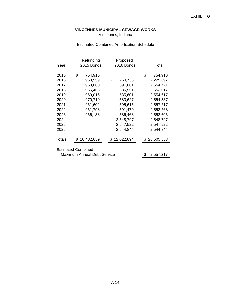Vincennes, Indiana

## Estimated Combined Amortization Schedule

|                                          |    | Refunding  |    | Proposed   |    |            |
|------------------------------------------|----|------------|----|------------|----|------------|
| Year                                     |    | 2015 Bonds |    | 2016 Bonds |    | Total      |
|                                          |    |            |    |            |    |            |
| 2015                                     | \$ | 754,910    |    |            | \$ | 754,910    |
| 2016                                     |    | 1,968,959  | \$ | 260,738    |    | 2,229,697  |
| 2017                                     |    | 1,963,060  |    | 591,661    |    | 2,554,721  |
| 2018                                     |    | 1,966,466  |    | 586,551    |    | 2,553,017  |
| 2019                                     |    | 1,969,016  |    | 585,601    |    | 2,554,617  |
| 2020                                     |    | 1,970,710  |    | 583,627    |    | 2,554,337  |
| 2021                                     |    | 1,961,602  |    | 595,615    |    | 2,557,217  |
| 2022                                     |    | 1,961,798  |    | 591,470    |    | 2,553,268  |
| 2023                                     |    | 1,966,138  |    | 586,468    |    | 2,552,606  |
| 2024                                     |    |            |    | 2,548,797  |    | 2,548,797  |
| 2025                                     |    |            |    | 2,547,522  |    | 2,547,522  |
| 2026                                     |    |            |    | 2,544,844  |    | 2,544,844  |
|                                          |    |            |    |            |    |            |
| Totals                                   |    | 16,482,659 |    | 12,022,894 |    | 28,505,553 |
|                                          |    |            |    |            |    |            |
| <b>Estimated Combined</b>                |    |            |    |            |    |            |
| <b>Maximum Annual Debt Service</b><br>\$ |    |            |    | 2,557,217  |    |            |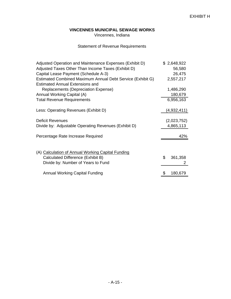Vincennes, Indiana

## Statement of Revenue Requirements

| Adjusted Operation and Maintenance Expenses (Exhibit D)<br>Adjusted Taxes Other Than Income Taxes (Exhibit D)<br>Capital Lease Payment (Schedule A-3)<br>Estimated Combined Maximum Annual Debt Service (Exhibit G)<br><b>Estimated Annual Extensions and</b> | \$2,648,922<br>56,580<br>26,475<br>2,557,217 |
|---------------------------------------------------------------------------------------------------------------------------------------------------------------------------------------------------------------------------------------------------------------|----------------------------------------------|
| Replacements (Depreciation Expense)                                                                                                                                                                                                                           | 1,486,290                                    |
| Annual Working Capital (A)                                                                                                                                                                                                                                    | 180,679                                      |
| <b>Total Revenue Requirements</b>                                                                                                                                                                                                                             | 6,956,163                                    |
| Less: Operating Revenues (Exhibit D)                                                                                                                                                                                                                          | (4,932,411)                                  |
| <b>Deficit Revenues</b>                                                                                                                                                                                                                                       | (2,023,752)                                  |
| Divide by: Adjustable Operating Revenues (Exhibit D)                                                                                                                                                                                                          | 4,865,113                                    |
| Percentage Rate Increase Required                                                                                                                                                                                                                             | 42%                                          |
| (A) Calculation of Annual Working Capital Funding<br>Calculated Difference (Exhibit B)<br>Divide by: Number of Years to Fund                                                                                                                                  | \$<br>361,358<br>2                           |
| <b>Annual Working Capital Funding</b>                                                                                                                                                                                                                         | 180,679                                      |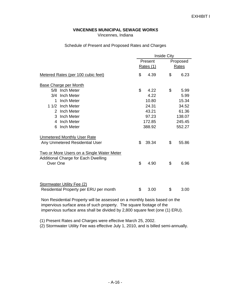Vincennes, Indiana

### Schedule of Present and Proposed Rates and Charges

|               |                                                                           | Inside City         |        |    |        |
|---------------|---------------------------------------------------------------------------|---------------------|--------|----|--------|
|               |                                                                           | Present<br>Proposed |        |    |        |
|               |                                                                           | <u>Rates (1)</u>    |        |    | Rates  |
|               | Metered Rates (per 100 cubic feet)                                        | \$                  | 4.39   | \$ | 6.23   |
|               | <b>Base Charge per Month</b>                                              |                     |        |    |        |
|               | 5/8 Inch Meter                                                            | $\mathfrak{S}$      | 4.22   | \$ | 5.99   |
| 3/4           | Inch Meter                                                                |                     | 4.22   |    | 5.99   |
| 1             | Inch Meter                                                                |                     | 10.80  |    | 15.34  |
|               | 1 1/2 Inch Meter                                                          |                     | 24.31  |    | 34.52  |
|               | 2 Inch Meter                                                              |                     | 43.21  |    | 61.36  |
| $\mathcal{S}$ | Inch Meter                                                                |                     | 97.23  |    | 138.07 |
| 4             | Inch Meter                                                                |                     | 172.85 |    | 245.45 |
| 6             | Inch Meter                                                                |                     | 388.92 |    | 552.27 |
|               |                                                                           |                     |        |    |        |
|               | <b>Unmetered Monthly User Rate</b>                                        |                     |        |    |        |
|               | Any Unmetered Residential User                                            | $\mathcal{L}$       | 39.34  | \$ | 55.86  |
|               | <b>Two or More Users on a Single Water Meter</b>                          |                     |        |    |        |
|               | <b>Additional Charge for Each Dwelling</b>                                |                     |        |    |        |
| Over One      |                                                                           | \$                  | 4.90   | \$ | 6.96   |
|               |                                                                           |                     |        |    |        |
|               |                                                                           |                     |        |    |        |
|               |                                                                           |                     |        |    |        |
|               | Stormwater Utility Fee (2)                                                |                     |        |    |        |
|               | Residential Property per ERU per month                                    | \$                  | 3.00   | \$ | 3.00   |
|               |                                                                           |                     |        |    |        |
|               | Non Residential Property will be assessed on a monthly basis based on the |                     |        |    |        |

impervious surface area of such property. The square footage of the impervious surface area shall be divided by 2,800 square feet (one (1) ERU).

(1) Present Rates and Charges were effective March 25, 2002.

(2) Stormwater Utility Fee was effective July 1, 2010, and is billed semi-annually.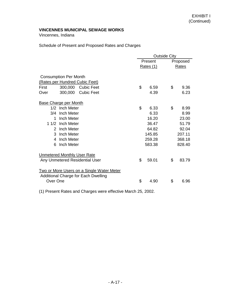Vincennes, Indiana

## Schedule of Present and Proposed Rates and Charges

|                 |                                                                | <b>Outside City</b> |        |              |          |  |
|-----------------|----------------------------------------------------------------|---------------------|--------|--------------|----------|--|
|                 |                                                                | Present             |        |              | Proposed |  |
|                 |                                                                | <u>Rates (1)</u>    |        | <b>Rates</b> |          |  |
|                 |                                                                |                     |        |              |          |  |
|                 | <b>Consumption Per Month</b><br>(Rates per Hundred Cubic Feet) |                     |        |              |          |  |
| First           | <b>Cubic Feet</b><br>300,000                                   | \$                  | 6.59   | \$           | 9.36     |  |
| Over            | 300,000<br><b>Cubic Feet</b>                                   |                     | 4.39   |              | 6.23     |  |
|                 |                                                                |                     |        |              |          |  |
|                 | <b>Base Charge per Month</b>                                   |                     |        |              |          |  |
|                 | 1/2 Inch Meter                                                 | \$                  | 6.33   | \$           | 8.99     |  |
| 3/4             | Inch Meter                                                     |                     | 6.33   |              | 8.99     |  |
| 1               | <b>Inch Meter</b>                                              |                     | 16.20  |              | 23.00    |  |
| 11/2            | Inch Meter                                                     |                     | 36.47  |              | 51.79    |  |
| $\mathcal{P}$   | Inch Meter                                                     |                     | 64.82  |              | 92.04    |  |
| Inch Meter<br>3 |                                                                | 145.85              |        |              | 207.11   |  |
| 4               | <b>Inch Meter</b>                                              |                     | 259.28 |              | 368.18   |  |
| 6               | Inch Meter                                                     |                     | 583.38 |              | 828.40   |  |
|                 | <b>Unmetered Monthly User Rate</b>                             |                     |        |              |          |  |
|                 | Any Unmetered Residential User                                 | \$                  | 59.01  | \$           | 83.79    |  |
|                 |                                                                |                     |        |              |          |  |
|                 | <b>Two or More Users on a Single Water Meter</b>               |                     |        |              |          |  |
|                 | Additional Charge for Each Dwelling                            |                     |        |              |          |  |
| Over One        |                                                                | \$                  | 4.90   | \$           | 6.96     |  |
|                 |                                                                |                     |        |              |          |  |

(1) Present Rates and Charges were effective March 25, 2002.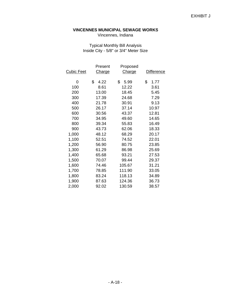Vincennes, Indiana

Typical Monthly Bill Analysis Inside City - 5/8" or 3/4" Meter Size

|                   | Present    | Proposed   |            |
|-------------------|------------|------------|------------|
| <b>Cubic Feet</b> | Charge     | Charge     | Difference |
| 0                 | \$<br>4.22 | \$<br>5.99 | \$<br>1.77 |
| 100               | 8.61       | 12.22      | 3.61       |
| 200               | 13.00      | 18.45      | 5.45       |
| 300               | 17.39      | 24.68      | 7.29       |
| 400               | 21.78      | 30.91      | 9.13       |
| 500               | 26.17      | 37.14      | 10.97      |
| 600               | 30.56      | 43.37      | 12.81      |
| 700               | 34.95      | 49.60      | 14.65      |
| 800               | 39.34      | 55.83      | 16.49      |
| 900               | 43.73      | 62.06      | 18.33      |
| 1,000             | 48.12      | 68.29      | 20.17      |
| 1,100             | 52.51      | 74.52      | 22.01      |
| 1,200             | 56.90      | 80.75      | 23.85      |
| 1,300             | 61.29      | 86.98      | 25.69      |
| 1,400             | 65.68      | 93.21      | 27.53      |
| 1,500             | 70.07      | 99.44      | 29.37      |
| 1,600             | 74.46      | 105.67     | 31.21      |
| 1,700             | 78.85      | 111.90     | 33.05      |
| 1,800             | 83.24      | 118.13     | 34.89      |
| 1,900             | 87.63      | 124.36     | 36.73      |
| 2,000             | 92.02      | 130.59     | 38.57      |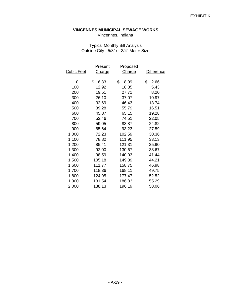Vincennes, Indiana

Typical Monthly Bill Analysis Outside City - 5/8" or 3/4" Meter Size

|                   | Present       | Proposed      |                   |
|-------------------|---------------|---------------|-------------------|
| <b>Cubic Feet</b> | <u>Charge</u> | <u>Charge</u> | <b>Difference</b> |
| 0                 | \$<br>6.33    | \$<br>8.99    | \$<br>2.66        |
| 100               | 12.92         | 18.35         | 5.43              |
| 200               | 19.51         | 27.71         | 8.20              |
| 300               | 26.10         | 37.07         | 10.97             |
| 400               | 32.69         | 46.43         | 13.74             |
| 500               | 39.28         | 55.79         | 16.51             |
| 600               | 45.87         | 65.15         | 19.28             |
| 700               | 52.46         | 74.51         | 22.05             |
| 800               | 59.05         | 83.87         | 24.82             |
| 900               | 65.64         | 93.23         | 27.59             |
| 1,000             | 72.23         | 102.59        | 30.36             |
| 1,100             | 78.82         | 111.95        | 33.13             |
| 1,200             | 85.41         | 121.31        | 35.90             |
| 1,300             | 92.00         | 130.67        | 38.67             |
| 1,400             | 98.59         | 140.03        | 41.44             |
| 1,500             | 105.18        | 149.39        | 44.21             |
| 1,600             | 111.77        | 158.75        | 46.98             |
| 1,700             | 118.36        | 168.11        | 49.75             |
| 1,800             | 124.95        | 177.47        | 52.52             |
| 1,900             | 131.54        | 186.83        | 55.29             |
| 2,000             | 138.13        | 196.19        | 58.06             |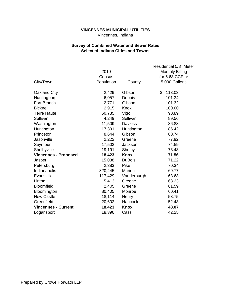# **VINCENNES MUNICIPAL UTILITIES**

Vincennes, Indiana

## **Selected Indiana Cities and Towns Survey of Combined Water and Sewer Rates**

| City/Town                   | 2010<br>Census<br>Population | <b>County</b>  | Residential 5/8" Meter<br><b>Monthly Billing</b><br>for 6.68 CCF or<br>5,000 Gallons |
|-----------------------------|------------------------------|----------------|--------------------------------------------------------------------------------------|
| Oakland City                | 2,429                        | Gibson         | \$<br>113.03                                                                         |
| Huntingburg                 | 6,057                        | <b>Dubois</b>  | 101.34                                                                               |
| Fort Branch                 | 2,771                        | Gibson         | 101.32                                                                               |
|                             |                              |                |                                                                                      |
| <b>Bicknell</b>             | 2,915                        | Knox           | 100.60                                                                               |
| <b>Terre Haute</b>          | 60,785                       | Vigo           | 90.89                                                                                |
| Sullivan                    | 4,249                        | Sullivan       | 89.56                                                                                |
| Washington                  | 11,509                       | <b>Daviess</b> | 86.88                                                                                |
| Huntington                  | 17,391                       | Huntington     | 86.42                                                                                |
| Princeton                   | 8,644                        | Gibson         | 80.74                                                                                |
| Jasonville                  | 2,222                        | Greene         | 77.92                                                                                |
| Seymour                     | 17,503                       | Jackson        | 74.59                                                                                |
| Shelbyville                 | 19,191                       | Shelby         | 73.48                                                                                |
| <b>Vincennes - Proposed</b> | 18,423                       | <b>Knox</b>    | 71.56                                                                                |
| Jasper                      | 15,038                       | <b>DuBois</b>  | 71.22                                                                                |
| Petersburg                  | 2,383                        | Pike           | 70.34                                                                                |
| Indianapolis                | 820,445                      | Marion         | 69.77                                                                                |
| Evansville                  | 117,429                      | Vanderburgh    | 63.63                                                                                |
| Linton                      | 5,413                        | Greene         | 63.23                                                                                |
| <b>Bloomfield</b>           | 2,405                        | Greene         | 61.59                                                                                |
| Bloomington                 | 80,405                       | Monroe         | 60.41                                                                                |
| <b>New Castle</b>           | 18,114                       | Henry          | 53.75                                                                                |
| Greenfield                  | 20,602                       | Hancock        | 52.43                                                                                |
| <b>Vincennes - Current</b>  | 18,423                       | <b>Knox</b>    | 48.07                                                                                |
| Logansport                  | 18,396                       | Cass           | 42.25                                                                                |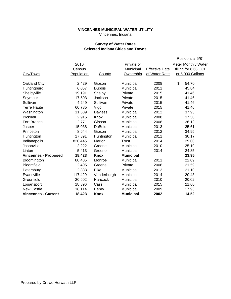Vincennes, Indiana

### **Survey of Water Rates Selected Indiana Cities and Towns**

|                             |            |                |                  |                       | Residential 5/8"     |
|-----------------------------|------------|----------------|------------------|-----------------------|----------------------|
|                             | 2010       |                | Private or       |                       | Meter Monthly Water  |
|                             | Census     |                | Municipal        | <b>Effective Date</b> | Billing for 6.68 CCF |
| City/Town                   | Population | <b>County</b>  | Ownership        | of Water Rate         | or 5,000 Gallons     |
|                             |            |                |                  |                       |                      |
| Oakland City                | 2,429      | Gibson         | Municipal        | 2008                  | \$<br>54.70          |
| Huntingburg                 | 6,057      | <b>Dubois</b>  | Municipal        | 2011                  | 45.84                |
| Shelbyville                 | 19,191     | Shelby         | Private          | 2015                  | 41.46                |
| Seymour                     | 17,503     | Jackson        | Private          | 2015                  | 41.46                |
| Sullivan                    | 4,249      | Sullivan       | Private          | 2015                  | 41.46                |
| <b>Terre Haute</b>          | 60,785     | Vigo           | Private          | 2015                  | 41.46                |
| Washington                  | 11,509     | <b>Daviess</b> | Municipal        | 2012                  | 37.93                |
| <b>Bicknell</b>             | 2,915      | Knox           | Municipal        | 2008                  | 37.50                |
| Fort Branch                 | 2,771      | Gibson         | Municipal        | 2008                  | 36.12                |
| Jasper                      | 15,038     | <b>DuBois</b>  | Municipal        | 2013                  | 35.61                |
| Princeton                   | 8,644      | Gibson         | Municipal        | 2012                  | 34.95                |
| Huntington                  | 17,391     | Huntington     | Municipal        | 2011                  | 30.17                |
| Indianapolis                | 820,445    | Marion         | Trust            | 2014                  | 29.00                |
| Jasonville                  | 2,222      | Greene         | Municipal        | 2010                  | 25.19                |
| Linton                      | 5,413      | Greene         | Municipal        | 2014                  | 24.85                |
| <b>Vincennes - Proposed</b> | 18,423     | <b>Knox</b>    | <b>Municipal</b> |                       | 23.95                |
| Bloomington                 | 80,405     | Monroe         | Municipal        | 2011                  | 22.09                |
| Bloomfield                  | 2,405      | Greene         | Private          | 2006                  | 21.59                |
| Petersburg                  | 2,383      | Pike           | Municipal        | 2013                  | 21.10                |
| Evansville                  | 117,429    | Vanderburgh    | Municipal        | 2014                  | 20.48                |
| Greenfield                  | 20,602     | Hancock        | Municipal        | 2010                  | 20.02                |
| Logansport                  | 18,396     | Cass           | Municipal        | 2015                  | 21.60                |
| <b>New Castle</b>           | 18,114     | Henry          | Municipal        | 2009                  | 17.93                |
| <b>Vincennes - Current</b>  | 18,423     | Knox           | <b>Municipal</b> | 2002                  | 14.52                |